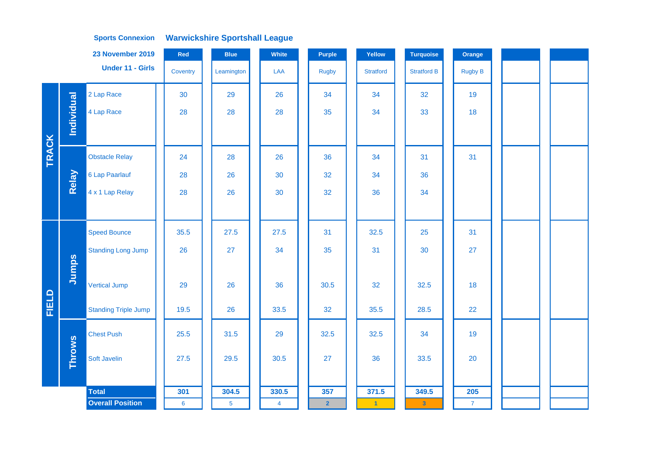|       |               | 23 November 2019            | Red             | <b>Blue</b>     | White          | <b>Purple</b>  | Yellow               | <b>Turquoise</b>        | Orange         |  |  |
|-------|---------------|-----------------------------|-----------------|-----------------|----------------|----------------|----------------------|-------------------------|----------------|--|--|
|       |               | <b>Under 11 - Girls</b>     | Coventry        | Leamington      | LAA            | <b>Rugby</b>   | <b>Stratford</b>     | <b>Stratford B</b>      | <b>Rugby B</b> |  |  |
|       |               | 2 Lap Race                  | 30              | 29              | 26             | 34             | 34                   | 32                      | 19             |  |  |
|       | Individual    | 4 Lap Race                  | 28              | 28              | 28             | 35             | 34                   | 33                      | 18             |  |  |
|       |               |                             |                 |                 |                |                |                      |                         |                |  |  |
| TRACK |               | <b>Obstacle Relay</b>       | 24              | 28              | 26             | 36             | 34                   | 31                      | 31             |  |  |
|       | Relay         | 6 Lap Paarlauf              | 28              | 26              | 30             | 32             | 34                   | 36                      |                |  |  |
|       |               | 4 x 1 Lap Relay             | 28              | 26              | 30             | 32             | 36                   | 34                      |                |  |  |
|       |               |                             |                 |                 |                |                |                      |                         |                |  |  |
|       |               | <b>Speed Bounce</b>         | 35.5            | 27.5            | 27.5           | 31             | 32.5                 | 25                      | 31             |  |  |
|       |               | <b>Standing Long Jump</b>   | 26              | 27              | 34             | 35             | 31                   | 30                      | 27             |  |  |
|       | Jumps         |                             |                 |                 |                |                |                      |                         |                |  |  |
|       |               | <b>Vertical Jump</b>        | 29              | 26              | 36             | 30.5           | 32                   | 32.5                    | 18             |  |  |
| FIELD |               | <b>Standing Triple Jump</b> | 19.5            | 26              | 33.5           | 32             | 35.5                 | 28.5                    | 22             |  |  |
|       |               | <b>Chest Push</b>           | 25.5            | 31.5            | 29             | 32.5           | 32.5                 | 34                      | 19             |  |  |
|       | <b>Throws</b> | Soft Javelin                | 27.5            | 29.5            | 30.5           | 27             | 36                   | 33.5                    | 20             |  |  |
|       |               |                             |                 |                 |                |                |                      |                         |                |  |  |
|       |               | <b>Total</b>                | 301             | 304.5           | 330.5          | 357            | 371.5                | 349.5                   | 205            |  |  |
|       |               | <b>Overall Position</b>     | $6\phantom{1}6$ | $5\phantom{.0}$ | $\overline{4}$ | $\overline{2}$ | $\blacktriangleleft$ | $\overline{\mathbf{3}}$ | $\mathbf{7}$   |  |  |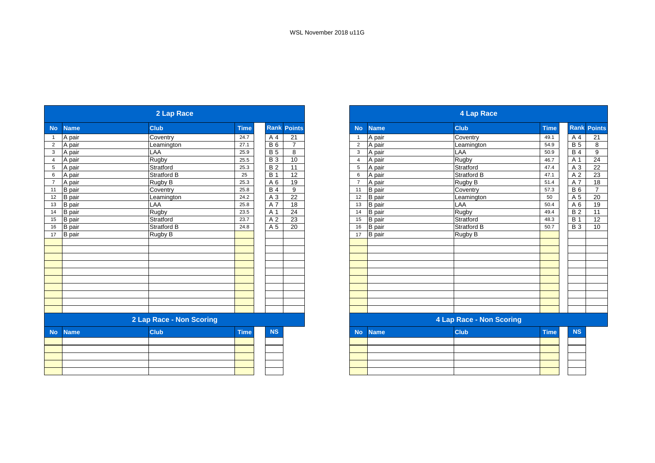| <b>No</b>      | <b>Name</b>   | <b>Club</b>              | <b>Time</b> |                 | <b>Rank Points</b> |
|----------------|---------------|--------------------------|-------------|-----------------|--------------------|
|                | A pair        | Coventry                 | 24.7        | A 4             | 21                 |
| $\overline{2}$ | A pair        | Leamington               | 27.1        | B6              | $\overline{7}$     |
| $\mathbf{3}$   | A pair        | LAA                      | 25.9        | $\overline{B}$  | 8                  |
| $\overline{4}$ | A pair        | Rugby                    | 25.5        | $\overline{B}3$ | 10                 |
|                | 5 A pair      | Stratford                | 25.3        | $\overline{B}$  | 11                 |
| 6              | A pair        | Stratford B              | 25          | <b>B</b> 1      | 12                 |
| $\overline{7}$ | A pair        | <b>Rugby B</b>           | 25.3        | A 6             | 19                 |
| 11             | <b>B</b> pair | Coventry                 | 25.8        | <b>B4</b>       | 9                  |
| 12             | B pair        | Leamington               | 24.2        | A 3             | 22                 |
| 13             | <b>B</b> pair | LAA                      | 25.8        | A 7             | 18                 |
| 14             | <b>B</b> pair | Rugby                    | 23.5        | A 1             | $\overline{24}$    |
| 15             | <b>B</b> pair | Stratford                | 23.7        | A 2             | 23                 |
| 16             | <b>B</b> pair | Stratford B              | 24.8        | A <sub>5</sub>  | $\overline{20}$    |
| 17             | B pair        | Rugby B                  |             |                 |                    |
|                |               |                          |             |                 |                    |
|                |               |                          |             |                 |                    |
|                |               |                          |             |                 |                    |
|                |               |                          |             |                 |                    |
|                |               |                          |             |                 |                    |
|                |               |                          |             |                 |                    |
|                |               |                          |             |                 |                    |
|                |               |                          |             |                 |                    |
|                |               |                          |             |                 |                    |
|                |               |                          |             |                 |                    |
|                |               | 2 Lap Race - Non Scoring |             |                 |                    |
| <b>No</b>      | <b>Name</b>   | <b>Club</b>              | <b>Time</b> | <b>NS</b>       |                    |
|                |               |                          |             |                 |                    |
|                |               |                          |             |                 |                    |
|                |               |                          |             |                 |                    |
|                |               |                          |             |                 |                    |
|                |               |                          |             |                 |                    |
|                |               |                          |             |                 |                    |

|                 |                          | 2 Lap Race         |             |            |                |                          |               | <b>4 Lap Race</b>  |             |             |                 |
|-----------------|--------------------------|--------------------|-------------|------------|----------------|--------------------------|---------------|--------------------|-------------|-------------|-----------------|
| No              | <b>Name</b>              | <b>Club</b>        | <b>Time</b> | Rank       | <b>Points</b>  | <b>No</b>                | <b>Name</b>   | <b>Club</b>        | <b>Time</b> | <b>Rank</b> | <b>Points</b>   |
|                 | A pair                   | Coventry           | 24.7        | A 4        | 21             |                          | A pair        | Coventry           | 49.1        | A 4         | 21              |
| 2               | A pair                   | Leamington         | 27.1        | <b>B6</b>  | $\overline{7}$ | $\overline{2}$           | A pair        | Leamington         | 54.9        | <b>B</b> 5  | 8               |
| $\mathbf{3}$    | A pair                   | LAA                | 25.9        | <b>B</b> 5 | 8              | 3                        | A pair        | LAA                | 50.9        | <b>B4</b>   | 9               |
| $\overline{4}$  | A pair                   | Rugby              | 25.5        | <b>B</b> 3 | 10             | 4                        | A pair        | <b>Rugby</b>       | 46.7        | A 1         | 24              |
| $5\phantom{.0}$ | A pair                   | Stratford          | 25.3        | <b>B2</b>  | 11             | 5                        | A pair        | Stratford          | 47.4        | A 3         | 22              |
| $6\phantom{1}6$ | A pair                   | <b>Stratford B</b> | 25          | <b>B</b> 1 | 12             | 6                        | A pair        | <b>Stratford B</b> | 47.1        | A 2         | $\overline{23}$ |
| $\overline{7}$  | A pair                   | Rugby B            | 25.3        | A 6        | 19             | $\overline{7}$           | A pair        | Rugby B            | 51.4        | A 7         | 18              |
| 11              | B pair                   | Coventry           | 25.8        | <b>B4</b>  | 9              | 11                       | <b>B</b> pair | Coventry           | 57.3        | <b>B</b> 6  | $\overline{7}$  |
| 12              | <b>B</b> pair            | Leamington         | 24.2        | A 3        | 22             | 12                       | <b>B</b> pair | Leamington         | 50          | A 5         | 20              |
| 13              | <b>B</b> pair            | LAA                | 25.8        | A 7        | 18             | 13                       | <b>B</b> pair | LAA                | 50.4        | A 6         | 19              |
| $14$            | <b>B</b> pair            | <b>Rugby</b>       | 23.5        | A 1        | 24             | 14                       | <b>B</b> pair | Rugby              | 49.4        | <b>B2</b>   | 11              |
| 15              | B pair                   | Stratford          | 23.7        | A 2        | 23             | 15                       | <b>B</b> pair | Stratford          | 48.3        | <b>B</b> 1  | 12              |
| $16$            | <b>B</b> pair            | <b>Stratford B</b> | 24.8        | A 5        | 20             | 16                       | <b>B</b> pair | <b>Stratford B</b> | 50.7        | <b>B3</b>   | 10              |
| 17              | <b>B</b> pair            | Rugby B            |             |            |                | 17                       | <b>B</b> pair | Rugby B            |             |             |                 |
|                 |                          |                    |             |            |                |                          |               |                    |             |             |                 |
|                 |                          |                    |             |            |                |                          |               |                    |             |             |                 |
|                 |                          |                    |             |            |                |                          |               |                    |             |             |                 |
|                 |                          |                    |             |            |                |                          |               |                    |             |             |                 |
|                 |                          |                    |             |            |                |                          |               |                    |             |             |                 |
|                 |                          |                    |             |            |                |                          |               |                    |             |             |                 |
|                 |                          |                    |             |            |                |                          |               |                    |             |             |                 |
|                 |                          |                    |             |            |                |                          |               |                    |             |             |                 |
|                 |                          |                    |             |            |                |                          |               |                    |             |             |                 |
|                 |                          |                    |             |            |                |                          |               |                    |             |             |                 |
|                 | 2 Lap Race - Non Scoring |                    |             |            |                | 4 Lap Race - Non Scoring |               |                    |             |             |                 |
| <b>No</b>       | <b>Name</b>              | <b>Club</b>        | <b>Time</b> | <b>NS</b>  |                | <b>No</b>                | <b>Name</b>   | <b>Club</b>        | <b>Time</b> | <b>NS</b>   |                 |

|  | $\cdots$ $\cdots$ | . | ___ |
|--|-------------------|---|-----|
|  |                   |   |     |
|  |                   |   |     |
|  |                   |   |     |
|  |                   |   |     |
|  |                   |   |     |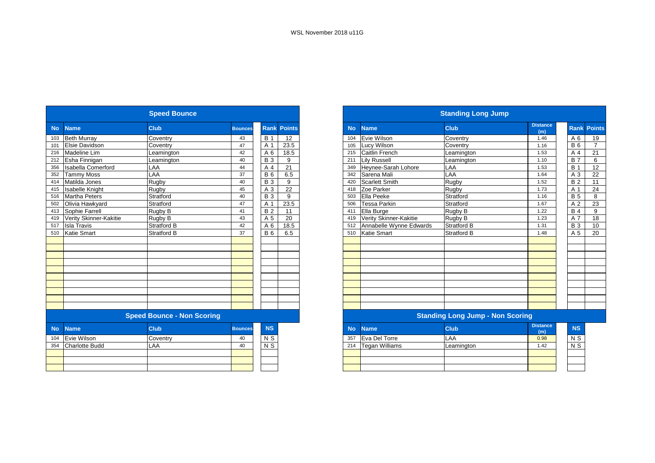|           |                           | <b>Speed Bounce</b>               |                |                |                    |
|-----------|---------------------------|-----------------------------------|----------------|----------------|--------------------|
| <b>No</b> | <b>Name</b>               | <b>Club</b>                       | <b>Bounces</b> |                | <b>Rank Points</b> |
| 103       | <b>Beth Murray</b>        | Coventry                          | 43             | <b>B</b> 1     | 12                 |
| 101       | Elsie Davidson            | Coventry                          | 47             | A 1            | 23.5               |
| 216       | Madeline Lim              | Leamington                        | 42             | A 6            | 18.5               |
| 212       | Esha Finnigan             | Leamington                        | 40             | <b>B</b> 3     | 9                  |
| 356       | <b>Isabella Comerford</b> | LAA                               | 44             | A 4            | 21                 |
| 352       | <b>Tammy Moss</b>         | LAA                               | 37             | <b>B6</b>      | 6.5                |
| 414       | Matilda Jones             | Rugby                             | 40             | <b>B</b> 3     | 9                  |
| 415       | Isabelle Knight           | Rugby                             | 45             | A 3            | 22                 |
| 516       | Martha Peters             | Stratford                         | 40             | <b>B3</b>      | 9                  |
| 502       | Olivia Hawkyard           | Stratford                         | 47             | A 1            | 23.5               |
| 413       | Sophie Farrell            | Rugby B                           | 41             | <b>B2</b>      | 11                 |
| 419       | Verity Skinner-Kakitie    | Rugby B                           | 43             | A 5            | 20                 |
| 517       | <b>Isla Travis</b>        | <b>Stratford B</b>                | 42             | A 6            | 18.5               |
| 510       | Katie Smart               | Stratford B                       | 37             | <b>B</b> 6     | 6.5                |
|           |                           |                                   |                |                |                    |
|           |                           |                                   |                |                |                    |
|           |                           |                                   |                |                |                    |
|           |                           |                                   |                |                |                    |
|           |                           |                                   |                |                |                    |
|           |                           |                                   |                |                |                    |
|           |                           |                                   |                |                |                    |
|           |                           |                                   |                |                |                    |
|           |                           |                                   |                |                |                    |
|           |                           |                                   |                |                |                    |
|           |                           | <b>Speed Bounce - Non Scoring</b> |                |                |                    |
| <b>No</b> | <b>Name</b>               | Club                              | <b>Bounces</b> | <b>NS</b>      |                    |
| 104       | Evie Wilson               | Coventry                          | 40             | N <sub>S</sub> |                    |
| 354       | <b>Charlotte Budd</b>     | LAA                               | 40             | N <sub>S</sub> |                    |
|           |                           |                                   |                |                |                    |
|           |                           |                                   |                |                |                    |
|           |                           |                                   |                |                |                    |

|           |                         | <b>Standing Long Jump</b>               |                        |                |                    |
|-----------|-------------------------|-----------------------------------------|------------------------|----------------|--------------------|
| <b>No</b> | <b>Name</b>             | <b>Club</b>                             | <b>Distance</b><br>(m) |                | <b>Rank Points</b> |
| 104       | Evie Wilson             | Coventry                                | 1.46                   | $A_6$          | 19                 |
| 105       | Lucy Wilson             | Coventry                                | 1.16                   | <b>B</b> 6     | $\overline{7}$     |
| 215       | Caitlin French          | Leamington                              | 1.53                   | A 4            | 21                 |
| 211       | <b>Lilv Russell</b>     | Leamington                              | 1.10                   | <b>B7</b>      | 6                  |
| 349       | Heynee-Sarah Lohore     | LAA                                     | 1.53                   | <b>B</b> 1     | 12                 |
| 342       | Sarena Mali             | LAA                                     | 1.64                   | A <sub>3</sub> | 22                 |
| 420       | <b>Scarlett Smith</b>   | Rugby                                   | 1.52                   | <b>B2</b>      | 11                 |
| 418       | Zoe Parker              | Rugby                                   | 1.73                   | A 1            | 24                 |
| 503       | Ella Peeke              | Stratford                               | 1.16                   | <b>B</b> 5     | 8                  |
| 506       | <b>Tessa Parkin</b>     | Stratford                               | 1.67                   | A 2            | 23                 |
| 411       | Ella Burge              | Rugby B                                 | 1.22                   | <b>B</b> 4     | 9                  |
| 419       | Verity Skinner-Kakitie  | Rugby B                                 | 1.23                   | A 7            | 18                 |
| 512       | Annabelle Wynne Edwards | <b>Stratford B</b>                      | 1.31                   | <b>B</b> 3     | 10                 |
| 510       | <b>Katie Smart</b>      | <b>Stratford B</b>                      | 1.48                   | A 5            | 20                 |
|           |                         |                                         |                        |                |                    |
|           |                         |                                         |                        |                |                    |
|           |                         |                                         |                        |                |                    |
|           |                         |                                         |                        |                |                    |
|           |                         |                                         |                        |                |                    |
|           |                         |                                         |                        |                |                    |
|           |                         |                                         |                        |                |                    |
|           |                         |                                         |                        |                |                    |
|           |                         |                                         |                        |                |                    |
|           |                         |                                         |                        |                |                    |
|           |                         | <b>Standing Long Jump - Non Scoring</b> |                        |                |                    |
| <b>No</b> | <b>Name</b>             | <b>Club</b>                             | <b>Distance</b><br>(m) | <b>NS</b>      |                    |
| 357       | Eva Del Torre           | LAA                                     | 0.98                   | N S            |                    |
| 214       | <b>Tegan Williams</b>   | Leamington                              | 1.42                   | N <sub>S</sub> |                    |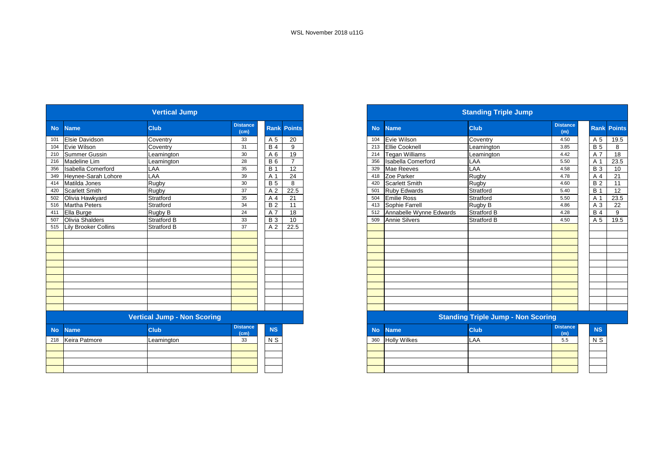|           | <b>Vertical Jump</b>  |                                    |                         |                |                    |  |  |  |  |  |  |
|-----------|-----------------------|------------------------------------|-------------------------|----------------|--------------------|--|--|--|--|--|--|
| <b>No</b> | <b>Name</b>           | Club                               | <b>Distance</b><br>(cm) |                | <b>Rank Points</b> |  |  |  |  |  |  |
| 101       | Elsie Davidson        | Coventry                           | 33                      | A 5            | 20                 |  |  |  |  |  |  |
| 104       | Evie Wilson           | Coventry                           | 31                      | <b>B4</b>      | 9                  |  |  |  |  |  |  |
| 210       | <b>Summer Gussin</b>  | Leamington                         | 30                      | A 6            | 19                 |  |  |  |  |  |  |
| 216       | Madeline Lim          | Leamington                         | 28                      | <b>B</b> 6     | $\overline{7}$     |  |  |  |  |  |  |
| 356       | Isabella Comerford    | LAA                                | 35                      | <b>B</b> 1     | 12                 |  |  |  |  |  |  |
| 349       | Heynee-Sarah Lohore   | LAA                                | 39                      | A 1            | 24                 |  |  |  |  |  |  |
| 414       | Matilda Jones         | Rugby                              | 30                      | <b>B</b> 5     | 8                  |  |  |  |  |  |  |
| 420       | <b>Scarlett Smith</b> | Rugby                              | 37                      | A <sub>2</sub> | 22.5               |  |  |  |  |  |  |
| 502       | Olivia Hawkyard       | Stratford                          | 35                      | A 4            | 21                 |  |  |  |  |  |  |
| 516       | Martha Peters         | Stratford                          | 34                      | <b>B2</b>      | 11                 |  |  |  |  |  |  |
| 411       | Ella Burge            | Rugby <sub>B</sub>                 | 24                      | A 7            | 18                 |  |  |  |  |  |  |
| 507       | Olivia Shalders       | Stratford B                        | 33                      | <b>B3</b>      | 10                 |  |  |  |  |  |  |
| 515       | Lily Brooker Collins  | <b>Stratford B</b>                 | 37                      | A <sub>2</sub> | 22.5               |  |  |  |  |  |  |
|           |                       |                                    |                         |                |                    |  |  |  |  |  |  |
|           |                       |                                    |                         |                |                    |  |  |  |  |  |  |
|           |                       |                                    |                         |                |                    |  |  |  |  |  |  |
|           |                       |                                    |                         |                |                    |  |  |  |  |  |  |
|           |                       |                                    |                         |                |                    |  |  |  |  |  |  |
|           |                       |                                    |                         |                |                    |  |  |  |  |  |  |
|           |                       |                                    |                         |                |                    |  |  |  |  |  |  |
|           |                       |                                    |                         |                |                    |  |  |  |  |  |  |
|           |                       |                                    |                         |                |                    |  |  |  |  |  |  |
|           |                       |                                    |                         |                |                    |  |  |  |  |  |  |
|           |                       |                                    |                         |                |                    |  |  |  |  |  |  |
|           |                       | <b>Vertical Jump - Non Scoring</b> |                         |                |                    |  |  |  |  |  |  |
| <b>No</b> | <b>Name</b>           | Club                               | <b>Distance</b><br>(cm) | <b>NS</b>      |                    |  |  |  |  |  |  |
| 218       | Keira Patmore         | Leamington                         | 33                      | N S            |                    |  |  |  |  |  |  |
|           |                       |                                    |                         |                |                    |  |  |  |  |  |  |
|           |                       |                                    |                         |                |                    |  |  |  |  |  |  |
|           |                       |                                    |                         |                |                    |  |  |  |  |  |  |
|           |                       |                                    |                         |                |                    |  |  |  |  |  |  |
|           |                       |                                    |                         |                |                    |  |  |  |  |  |  |

|           |                           | <b>Standing Triple Jump</b>               |                        |                |                    |
|-----------|---------------------------|-------------------------------------------|------------------------|----------------|--------------------|
| <b>No</b> | <b>Name</b>               | <b>Club</b>                               | <b>Distance</b><br>(m) |                | <b>Rank Points</b> |
| 104       | Evie Wilson               | Coventry                                  | 4.50                   | A 5            | 19.5               |
| 213       | Ellie Cooknell            | Leamington                                | 3.85                   | <b>B</b> 5     | 8                  |
| 214       | <b>Tegan Williams</b>     | Leamington                                | 4.42                   | A 7            | 18                 |
| 356       | <b>Isabella Comerford</b> | LAA                                       | 5.50                   | A 1            | 23.5               |
| 329       | Mae Reeves                | LAA                                       | 4.58                   | <b>B</b> 3     | 10                 |
| 418       | Zoe Parker                | Rugby                                     | 4.78                   | A 4            | 21                 |
| 420       | <b>Scarlett Smith</b>     | Rugby                                     | 4.60                   | <b>B2</b>      | 11                 |
| 501       | <b>Ruby Edwards</b>       | Stratford                                 | 5.40                   | <b>B</b> 1     | 12                 |
| 504       | <b>Emilie Ross</b>        | Stratford                                 | 5.50                   | A 1            | 23.5               |
| 413       | Sophie Farrell            | Rugby B                                   | 4.86                   | A <sub>3</sub> | 22                 |
| 512       | Annabelle Wynne Edwards   | <b>Stratford B</b>                        | 4.28                   | <b>B4</b>      | 9                  |
| 509       | <b>Annie Silvers</b>      | <b>Stratford B</b>                        | 4.50                   | A 5            | 19.5               |
|           |                           |                                           |                        |                |                    |
|           |                           |                                           |                        |                |                    |
|           |                           |                                           |                        |                |                    |
|           |                           |                                           |                        |                |                    |
|           |                           |                                           |                        |                |                    |
|           |                           |                                           |                        |                |                    |
|           |                           |                                           |                        |                |                    |
|           |                           |                                           |                        |                |                    |
|           |                           |                                           |                        |                |                    |
|           |                           |                                           |                        |                |                    |
|           |                           |                                           |                        |                |                    |
|           |                           |                                           |                        |                |                    |
|           |                           | <b>Standing Triple Jump - Non Scoring</b> |                        |                |                    |
| <b>No</b> | <b>Name</b>               | <b>Club</b>                               | <b>Distance</b><br>(m) | <b>NS</b>      |                    |
| 360       | <b>Holly Wilkes</b>       | LAA                                       | 5.5                    | N S            |                    |
|           |                           |                                           |                        |                |                    |
|           |                           |                                           |                        |                |                    |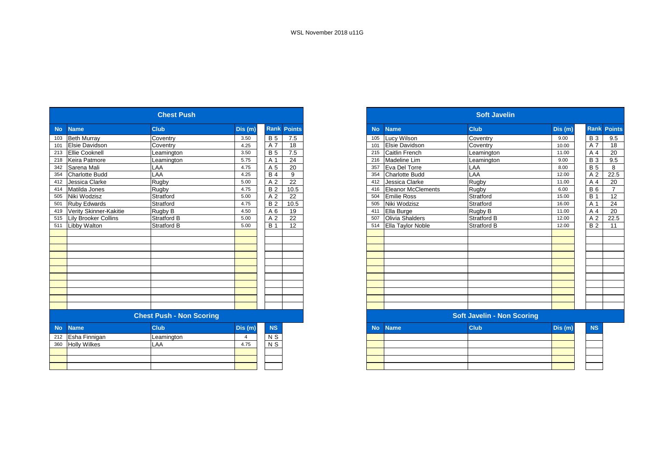|           | <b>Chest Push</b>           |                                 |         |                  |                    |  |  |  |  |  |  |
|-----------|-----------------------------|---------------------------------|---------|------------------|--------------------|--|--|--|--|--|--|
| <b>No</b> | <b>Name</b>                 | <b>Club</b>                     | Dis(m)  |                  | <b>Rank Points</b> |  |  |  |  |  |  |
| 103       | <b>Beth Murray</b>          | Coventry                        | 3.50    | <b>B</b> 5       | 7.5                |  |  |  |  |  |  |
| 101       | Elsie Davidson              | Coventry                        | 4.25    | A 7              | 18                 |  |  |  |  |  |  |
| 213       | <b>Ellie Cooknell</b>       | Leamington                      | 3.50    | <b>B5</b>        | 7.5                |  |  |  |  |  |  |
| 218       | Keira Patmore               | Leamington                      | 5.75    | A 1              | 24                 |  |  |  |  |  |  |
| 342       | Sarena Mali                 | LAA                             | 4.75    | A 5              | 20                 |  |  |  |  |  |  |
| 354       | <b>Charlotte Budd</b>       | LAA                             | 4.25    | <b>B4</b>        | 9                  |  |  |  |  |  |  |
| 412       | Jessica Clarke              | Rugby                           | 5.00    | A <sub>2</sub>   | 22                 |  |  |  |  |  |  |
| 414       | Matilda Jones               | Rugby                           | 4.75    | <b>B2</b>        | 10.5               |  |  |  |  |  |  |
| 505       | Niki Wodzisz                | Stratford                       | 5.00    | A <sub>2</sub>   | 22                 |  |  |  |  |  |  |
| 501       | <b>Ruby Edwards</b>         | Stratford                       | 4.75    | <b>B</b> 2       | 10.5               |  |  |  |  |  |  |
| 419       | Verity Skinner-Kakitie      | Rugby B                         | 4.50    | A 6              | 19                 |  |  |  |  |  |  |
| 515       | <b>Lily Brooker Collins</b> | Stratford B                     | 5.00    | A <sub>2</sub>   | 22                 |  |  |  |  |  |  |
| 511       | Libby Walton                | Stratford B                     | 5.00    | <b>B</b> 1       | 12 <sup>2</sup>    |  |  |  |  |  |  |
|           |                             |                                 |         |                  |                    |  |  |  |  |  |  |
|           |                             |                                 |         |                  |                    |  |  |  |  |  |  |
|           |                             |                                 |         |                  |                    |  |  |  |  |  |  |
|           |                             |                                 |         |                  |                    |  |  |  |  |  |  |
|           |                             |                                 |         |                  |                    |  |  |  |  |  |  |
|           |                             |                                 |         |                  |                    |  |  |  |  |  |  |
|           |                             |                                 |         |                  |                    |  |  |  |  |  |  |
|           |                             |                                 |         |                  |                    |  |  |  |  |  |  |
|           |                             |                                 |         |                  |                    |  |  |  |  |  |  |
|           |                             |                                 |         |                  |                    |  |  |  |  |  |  |
|           |                             |                                 |         |                  |                    |  |  |  |  |  |  |
|           |                             | <b>Chest Push - Non Scoring</b> |         |                  |                    |  |  |  |  |  |  |
| <b>No</b> | <b>Name</b>                 | <b>Club</b>                     | Dis (m) | <b>NS</b>        |                    |  |  |  |  |  |  |
| 212       | Esha Finnigan               | Leamington                      | 4       | N S              |                    |  |  |  |  |  |  |
| 360       | <b>Holly Wilkes</b>         | LAA                             | 4.75    | $\overline{N}$ S |                    |  |  |  |  |  |  |
|           |                             |                                 |         |                  |                    |  |  |  |  |  |  |
|           |                             |                                 |         |                  |                    |  |  |  |  |  |  |
|           |                             |                                 |         |                  |                    |  |  |  |  |  |  |
|           |                             |                                 |         |                  |                    |  |  |  |  |  |  |

|           |                           | <b>Soft Javelin</b>               |         |                |                    |
|-----------|---------------------------|-----------------------------------|---------|----------------|--------------------|
| <b>No</b> | <b>Name</b>               | <b>Club</b>                       | Dis (m) |                | <b>Rank Points</b> |
| 105       | Lucy Wilson               | Coventry                          | 9.00    | <b>B</b> 3     | 9.5                |
| 101       | Elsie Davidson            | Coventry                          | 10.00   | A 7            | 18                 |
| 215       | Caitlin French            | Leamington                        | 11.00   | A <sub>4</sub> | 20                 |
| 216       | Madeline Lim              | Leamington                        | 9.00    | <b>B3</b>      | 9.5                |
| 357       | Eva Del Torre             | LAA                               | 8.00    | <b>B5</b>      | 8                  |
| 354       | <b>Charlotte Budd</b>     | LAA                               | 12.00   | A <sub>2</sub> | 22.5               |
| 412       | Jessica Clarke            | Rugby                             | 11.00   | A <sub>4</sub> | 20                 |
| 416       | <b>Eleanor McClements</b> | Rugby                             | 6.00    | <b>B6</b>      | $\overline{7}$     |
| 504       | <b>Emilie Ross</b>        | Stratford                         | 15.00   | <b>B</b> 1     | 12                 |
| 505       | Niki Wodzisz              | Stratford                         | 16.00   | A 1            | 24                 |
| 411       | Ella Burge                | Rugby B                           | 11.00   | A 4            | 20                 |
| 507       | Olivia Shalders           | Stratford B                       | 12.00   | A <sub>2</sub> | 22.5               |
| 514       | Ella Taylor Noble         | <b>Stratford B</b>                | 12.00   | <b>B2</b>      | 11                 |
|           |                           |                                   |         |                |                    |
|           |                           |                                   |         |                |                    |
|           |                           |                                   |         |                |                    |
|           |                           |                                   |         |                |                    |
|           |                           |                                   |         |                |                    |
|           |                           |                                   |         |                |                    |
|           |                           |                                   |         |                |                    |
|           |                           |                                   |         |                |                    |
|           |                           |                                   |         |                |                    |
|           |                           |                                   |         |                |                    |
|           |                           |                                   |         |                |                    |
|           |                           | <b>Soft Javelin - Non Scoring</b> |         |                |                    |
| <b>No</b> | <b>Name</b>               | Club                              | Dis (m) | <b>NS</b>      |                    |
|           |                           |                                   |         |                |                    |
|           |                           |                                   |         |                |                    |
|           |                           |                                   |         |                |                    |
|           |                           |                                   |         |                |                    |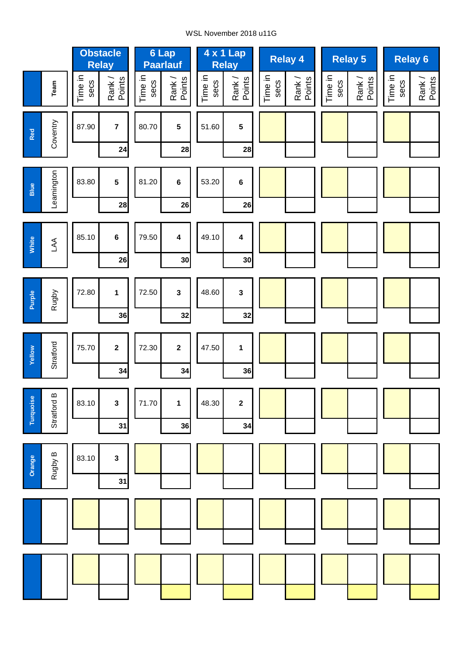### WSL November 2018 u11G

|           |             | <b>Obstacle</b><br><b>Relay</b> |                               |                 | 6 Lap<br><b>Paarlauf</b>      |                 | 4 x 1 Lap<br><b>Relay</b>     |                 | <b>Relay 4</b>   | Relay 5         |                  |                 | <b>Relay 6</b>   |
|-----------|-------------|---------------------------------|-------------------------------|-----------------|-------------------------------|-----------------|-------------------------------|-----------------|------------------|-----------------|------------------|-----------------|------------------|
|           | Team        | Time in<br>secs                 | Rank /<br>Points              | Time in<br>secs | Rank /<br>Points              | Time in<br>secs | Rank /<br>Points              | Time in<br>secs | Rank /<br>Points | Time in<br>secs | Rank /<br>Points | Time in<br>secs | Rank /<br>Points |
| Red       | Coventry    | 87.90                           | $\overline{7}$<br>24          | 80.70           | 5<br>28                       | 51.60           | $\overline{\mathbf{5}}$<br>28 |                 |                  |                 |                  |                 |                  |
| Blue      | Leamington  | 83.80                           | $5\phantom{a}$<br>28          | 81.20           | 6<br>26                       | 53.20           | $\bf 6$<br>26                 |                 |                  |                 |                  |                 |                  |
| White     | $\mathbb A$ | 85.10                           | $\bf 6$<br>26                 | 79.50           | 4<br>30                       | 49.10           | $\overline{\mathbf{4}}$<br>30 |                 |                  |                 |                  |                 |                  |
| Purple    | Rugby       | 72.80                           | $\mathbf{1}$<br>36            | 72.50           | $\overline{\mathbf{3}}$<br>32 | 48.60           | $\mathbf{3}$<br>32            |                 |                  |                 |                  |                 |                  |
| Yellow    | Stratford   | 75.70                           | $\overline{\mathbf{2}}$<br>34 | 72.30           | $\mathbf{2}$<br>34            | 47.50           | $\mathbf{1}$<br>36            |                 |                  |                 |                  |                 |                  |
| Turquoise | Stratford B | 83.10                           | $\mathbf{3}$<br>31            | 71.70           | 1<br>36                       | 48.30           | $\boldsymbol{2}$<br>34        |                 |                  |                 |                  |                 |                  |
| Orange    | Rugby B     | 83.10                           | $\mathbf 3$<br>31             |                 |                               |                 |                               |                 |                  |                 |                  |                 |                  |
|           |             |                                 |                               |                 |                               |                 |                               |                 |                  |                 |                  |                 |                  |
|           |             |                                 |                               |                 |                               |                 |                               |                 |                  |                 |                  |                 |                  |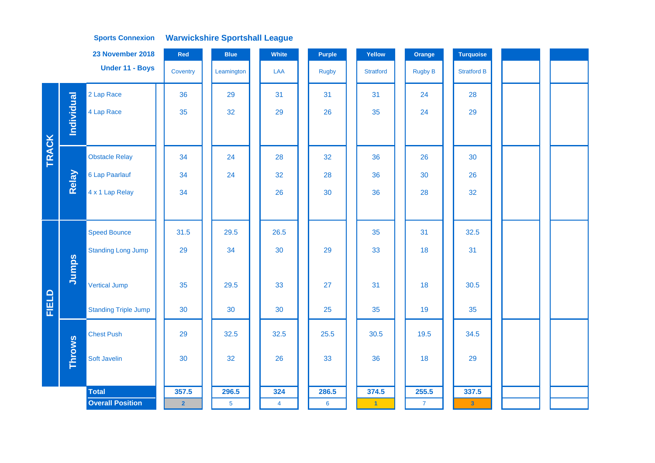|              |               | 23 November 2018            | Red            | <b>Blue</b>    | White          | Purple       | Yellow           | Orange         | <b>Turquoise</b>   |  |  |
|--------------|---------------|-----------------------------|----------------|----------------|----------------|--------------|------------------|----------------|--------------------|--|--|
|              |               | Under 11 - Boys             | Coventry       | Leamington     | LAA            | <b>Rugby</b> | <b>Stratford</b> | <b>Rugby B</b> | <b>Stratford B</b> |  |  |
|              |               | 2 Lap Race                  | 36             | 29             | 31             | 31           | 31               | 24             | 28                 |  |  |
|              | Individual    | 4 Lap Race                  | 35             | 32             | 29             | 26           | 35               | 24             | 29                 |  |  |
|              |               |                             |                |                |                |              |                  |                |                    |  |  |
| <b>TRACK</b> |               | <b>Obstacle Relay</b>       | 34             | 24             | 28             | 32           | 36               | 26             | 30                 |  |  |
|              | Relay         | 6 Lap Paarlauf              | 34             | 24             | 32             | 28           | 36               | 30             | 26                 |  |  |
|              |               | 4 x 1 Lap Relay             | 34             |                | 26             | 30           | 36               | 28             | 32                 |  |  |
|              |               |                             |                |                |                |              |                  |                |                    |  |  |
|              |               | <b>Speed Bounce</b>         | 31.5           | 29.5           | 26.5           |              | 35               | 31             | 32.5               |  |  |
|              |               | <b>Standing Long Jump</b>   | 29             | 34             | 30             | 29           | 33               | 18             | 31                 |  |  |
|              | Jumps         |                             |                |                |                |              |                  |                |                    |  |  |
|              |               | <b>Vertical Jump</b>        | 35             | 29.5           | 33             | 27           | 31               | 18             | 30.5               |  |  |
| FIELD        |               | <b>Standing Triple Jump</b> | 30             | 30             | 30             | 25           | 35               | 19             | 35                 |  |  |
|              |               | <b>Chest Push</b>           | 29             | 32.5           | 32.5           | 25.5         | 30.5             | 19.5           | 34.5               |  |  |
|              | <b>Throws</b> | Soft Javelin                | 30             | 32             | 26             | 33           | 36               | 18             | 29                 |  |  |
|              |               |                             |                |                |                |              |                  |                |                    |  |  |
|              |               | <b>Total</b>                | 357.5          | 296.5          | 324            | 286.5        | 374.5            | 255.5          | 337.5              |  |  |
|              |               | <b>Overall Position</b>     | $\overline{2}$ | $\overline{5}$ | $\overline{4}$ | 6            | $\vert 1 \vert$  | $\mathbf{7}$   | $\mathbf{3}$       |  |  |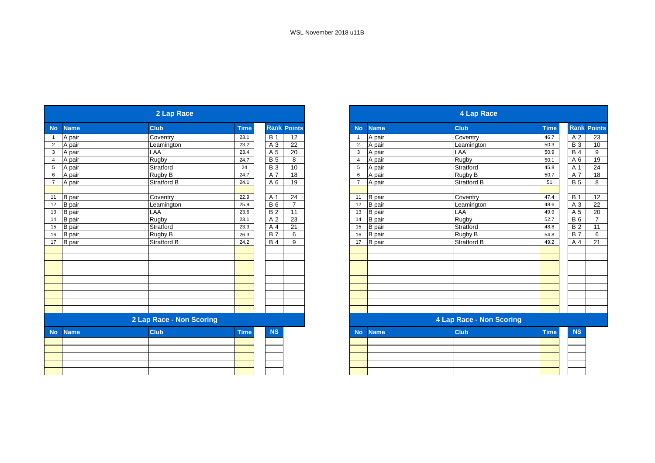| 2 Lap Race     |               |                          |             |                  |                 |                | <b>4 Lap Race</b> |                          |             |                  |  |
|----------------|---------------|--------------------------|-------------|------------------|-----------------|----------------|-------------------|--------------------------|-------------|------------------|--|
| <b>No</b>      | <b>Name</b>   | <b>Club</b>              | <b>Time</b> | <b>Rank</b>      | <b>Points</b>   | <b>No</b>      | <b>Name</b>       | <b>Club</b>              | <b>Time</b> | <b>Rank Poil</b> |  |
| $\overline{1}$ | A pair        | Coventry                 | 23.1        | <b>B</b> 1       | 12              | $\overline{1}$ | A pair            | Coventry                 | 46.7        | A 2              |  |
| $\overline{2}$ | A pair        | Leamington               | 23.2        | A 3              | 22              | $\overline{2}$ | A pair            | Leamington               | 50.3        | $\overline{B}3$  |  |
| 3 <sup>1</sup> | A pair        | LAA                      | 23.4        | A 5              | $\overline{20}$ | 3              | A pair            | LAA                      | 50.9        | <b>B</b> 4       |  |
| $\overline{4}$ | A pair        | Rugby                    | 24.7        | $\overline{B}$   | $\overline{8}$  | $\overline{4}$ | A pair            | <b>Rugby</b>             | 50.1        | A6               |  |
| 5 <sup>5</sup> | A pair        | Stratford                | 24          | <b>B3</b>        | 10              | 5              | A pair            | Stratford                | 45.8        |                  |  |
| 6              | A pair        | Rugby B                  | 24.7        | A 7              | $\overline{18}$ | 6              | A pair            | Rugby B                  | 50.7        | A 7              |  |
| $\overline{7}$ | A pair        | Stratford B              | 24.1        | A 6              | 19              | $\overline{7}$ | A pair            | <b>Stratford B</b>       | 51          | B <sub>5</sub>   |  |
| 11             | <b>B</b> pair | Coventry                 | 22.9        | A 1              | 24              | 11             | <b>B</b> pair     | Coventry                 | 47.4        | <b>B</b> 1       |  |
| 12             | <b>B</b> pair | Leamington               | 25.9        | <b>B6</b>        | $\overline{7}$  | 12             | <b>B</b> pair     | Leamington               | 48.6        | A 3              |  |
| 13             | <b>B</b> pair | LAA                      | 23.6        | <b>B2</b>        | 11              | 13             | <b>B</b> pair     | LAA                      | 49.9        | A <sub>5</sub>   |  |
| 14             | <b>B</b> pair | Rugby                    | 23.1        | A 2              | 23              | 14             | <b>B</b> pair     | Rugby                    | 52.7        | $B_6$            |  |
| 15             | <b>B</b> pair | Stratford                | 23.3        | A 4              | 21              | 15             | <b>B</b> pair     | Stratford                | 48.8        | B <sub>2</sub>   |  |
| 16             | <b>B</b> pair | Rugby B                  | 26.3        | $\overline{B}$ 7 | 6               | 16             | <b>B</b> pair     | Rugby B                  | 54.8        | B7               |  |
| 17             | <b>B</b> pair | <b>Stratford B</b>       | 24.2        | <b>B</b> 4       | 9               | 17             | <b>B</b> pair     | Stratford B              | 49.2        | A 4              |  |
|                |               |                          |             |                  |                 |                |                   |                          |             |                  |  |
|                |               |                          |             |                  |                 |                |                   |                          |             |                  |  |
|                |               |                          |             |                  |                 |                |                   |                          |             |                  |  |
|                |               |                          |             |                  |                 |                |                   |                          |             |                  |  |
|                |               |                          |             |                  |                 |                |                   |                          |             |                  |  |
|                |               |                          |             |                  |                 |                |                   |                          |             |                  |  |
|                |               | 2 Lap Race - Non Scoring |             |                  |                 |                |                   | 4 Lap Race - Non Scoring |             |                  |  |
| <b>No</b>      | <b>Name</b>   | <b>Club</b>              | Time        | <b>NS</b>        |                 | <b>No</b>      | <b>Name</b>       | <b>Club</b>              | <b>Time</b> |                  |  |
|                |               |                          |             |                  |                 |                |                   |                          |             |                  |  |
|                |               |                          |             |                  |                 |                |                   |                          |             |                  |  |
|                |               |                          |             |                  |                 |                |                   |                          |             |                  |  |
|                |               |                          |             |                  |                 |                |                   |                          |             |                  |  |
|                |               |                          |             |                  |                 |                |                   |                          |             |                  |  |

|                 |               | 2 Lap Race               |             |                 |                |                |               | 4 Lap Race               |             |                 |                |
|-----------------|---------------|--------------------------|-------------|-----------------|----------------|----------------|---------------|--------------------------|-------------|-----------------|----------------|
| <b>No</b>       | <b>Name</b>   | <b>Club</b>              | <b>Time</b> | Rank            | <b>Points</b>  | <b>No</b>      | <b>Name</b>   | <b>Club</b>              | <b>Time</b> | Rank            | <b>Points</b>  |
|                 | A pair        | Coventry                 | 23.1        | <b>B</b> 1      | 12             |                | A pair        | Coventry                 | 46.7        | A 2             | 23             |
| 2               | A pair        | Leamington               | 23.2        | A 3             | 22             | $\overline{2}$ | A pair        | Leamington               | 50.3        | $\overline{B}3$ | 10             |
| $\mathbf{3}$    | A pair        | LAA                      | 23.4        | A 5             | 20             | 3              | A pair        | LAA                      | 50.9        | <b>B4</b>       | 9              |
| $\overline{4}$  | A pair        | Rugby                    | 24.7        | <b>B</b> 5      | 8              |                | A pair        | <b>Rugby</b>             | 50.1        | A 6             | 19             |
| $5\phantom{.0}$ | A pair        | Stratford                | 24          | <b>B3</b>       | 10             | 5              | A pair        | Stratford                | 45.8        | A 1             | 24             |
| 6               | A pair        | Rugby B                  | 24.7        | A 7             | 18             | 6              | A pair        | Rugby B                  | 50.7        | A 7             | 18             |
| $\overline{7}$  | A pair        | Stratford B              | 24.1        | A 6             | 19             |                | A pair        | Stratford B              | 51          | <b>B</b> 5      | 8              |
|                 |               |                          |             |                 |                |                |               |                          |             |                 |                |
| 11              | B pair        | Coventry                 | 22.9        | A 1             | 24             | 11             | <b>B</b> pair | Coventry                 | 47.4        | <b>B</b> 1      | 12             |
| 12              | <b>B</b> pair | Leamington               | 25.9        | $\overline{B6}$ | $\overline{7}$ | 12             | <b>B</b> pair | Leamington               | 48.6        | A 3             | 22             |
| 13              | <b>B</b> pair | LAA                      | 23.6        | <b>B2</b>       | 11             | 13             | <b>B</b> pair | LAA                      | 49.9        | A 5             | 20             |
| 14              | <b>B</b> pair | Rugby                    | 23.1        | A 2             | 23             | 14             | <b>B</b> pair | Rugby                    | 52.7        | $B_6$           | $\overline{7}$ |
| $15\,$          | <b>B</b> pair | Stratford                | 23.3        | A 4             | 21             | 15             | <b>B</b> pair | Stratford                | 48.8        | <b>B2</b>       | 11             |
| 16              | B pair        | Rugby B                  | 26.3        | <b>B</b> 7      | 6              | 16             | <b>B</b> pair | Rugby B                  | 54.8        | <b>B7</b>       | 6              |
| 17              | <b>B</b> pair | <b>Stratford B</b>       | 24.2        | <b>B</b> 4      | 9              | 17             | <b>B</b> pair | <b>Stratford B</b>       | 49.2        | A 4             | 21             |
|                 |               |                          |             |                 |                |                |               |                          |             |                 |                |
|                 |               |                          |             |                 |                |                |               |                          |             |                 |                |
|                 |               |                          |             |                 |                |                |               |                          |             |                 |                |
|                 |               |                          |             |                 |                |                |               |                          |             |                 |                |
|                 |               |                          |             |                 |                |                |               |                          |             |                 |                |
|                 |               |                          |             |                 |                |                |               |                          |             |                 |                |
|                 |               |                          |             |                 |                |                |               |                          |             |                 |                |
|                 |               |                          |             |                 |                |                |               |                          |             |                 |                |
|                 |               | 2 Lap Race - Non Scoring |             |                 |                |                |               | 4 Lap Race - Non Scoring |             |                 |                |
|                 |               |                          |             |                 |                |                |               |                          |             |                 |                |

| <b>NS</b><br>and the state of the state of the state of the state of the state of the state of the state of the state of th |  | No Name | <b>Club</b> | <b>Time</b> | <b>NS</b> |
|-----------------------------------------------------------------------------------------------------------------------------|--|---------|-------------|-------------|-----------|
|                                                                                                                             |  |         |             |             |           |
|                                                                                                                             |  |         |             |             |           |
|                                                                                                                             |  |         |             |             |           |
|                                                                                                                             |  |         |             |             |           |
|                                                                                                                             |  |         |             |             |           |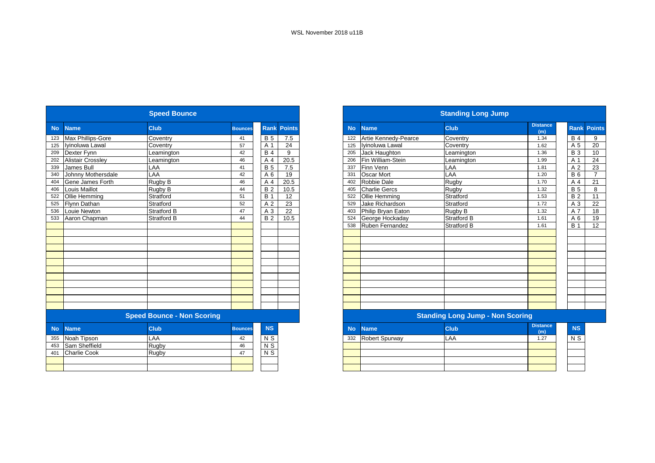|           |                     | <b>Speed Bounce</b>               |                |                 |                    |
|-----------|---------------------|-----------------------------------|----------------|-----------------|--------------------|
| <b>No</b> | <b>Name</b>         | Club                              | <b>Bounces</b> |                 | <b>Rank Points</b> |
| 123       | Max Phillips-Gore   | Coventry                          | 41             | <b>B5</b>       | 7.5                |
| 125       | Iyinoluwa Lawal     | Coventry                          | 57             | A 1             | 24                 |
| 209       | Dexter Fynn         | Leamington                        | 42             | <b>B4</b>       | 9                  |
| 202       | Alistair Crossley   | Leamington                        | 46             | A 4             | 20.5               |
| 339       | James Bull          | LAA                               | 41             | <b>B5</b>       | 7.5                |
| 340       | Johnny Mothersdale  | LAA                               | 42             | A <sub>6</sub>  | 19                 |
| 404       | Gene James Forth    | Rugby B                           | 46             | A 4             | 20.5               |
| 406       | Louis Maillot       | Rugby B                           | 44             | <b>B2</b>       | 10.5               |
| 522       | Ollie Hemming       | Stratford                         | 51             | <b>B</b> 1      | 12                 |
| 525       | Flynn Dathan        | Stratford                         | 52             | A 2             | 23                 |
| 536       | Louie Newton        | <b>Stratford B</b>                | 47             | A 3             | 22                 |
| 533       | Aaron Chapman       | Stratford B                       | 44             | B <sub>2</sub>  | 10.5               |
|           |                     |                                   |                |                 |                    |
|           |                     |                                   |                |                 |                    |
|           |                     |                                   |                |                 |                    |
|           |                     |                                   |                |                 |                    |
|           |                     |                                   |                |                 |                    |
|           |                     |                                   |                |                 |                    |
|           |                     |                                   |                |                 |                    |
|           |                     |                                   |                |                 |                    |
|           |                     |                                   |                |                 |                    |
|           |                     |                                   |                |                 |                    |
|           |                     |                                   |                |                 |                    |
|           |                     | <b>Speed Bounce - Non Scoring</b> |                |                 |                    |
| <b>No</b> | <b>Name</b>         | Club                              | <b>Bounces</b> | <b>NS</b>       |                    |
| 355       | Noah Tipson         | LAA                               | 42             | N S             |                    |
| 453       | Sam Sheffield       | Rugby                             | 46             | N <sub>S</sub>  |                    |
| 401       | <b>Charlie Cook</b> | Rugby                             | 47             | $N\overline{S}$ |                    |
|           |                     |                                   |                |                 |                    |
|           |                     |                                   |                |                 |                    |

|           | <b>Standing Long Jump</b> |                                         |                        |  |                |                    |  |  |  |  |  |
|-----------|---------------------------|-----------------------------------------|------------------------|--|----------------|--------------------|--|--|--|--|--|
| <b>No</b> | <b>Name</b>               | Club                                    | <b>Distance</b><br>(m) |  |                | <b>Rank Points</b> |  |  |  |  |  |
| 122       | Artie Kennedy-Pearce      | Coventry                                | 1.34                   |  | <b>B</b> 4     | 9                  |  |  |  |  |  |
| 125       | Iyinoluwa Lawal           | Coventry                                | 1.62                   |  | A 5            | 20                 |  |  |  |  |  |
| 205       | Jack Haughton             | Leamington                              | 1.36                   |  | <b>B</b> 3     | 10                 |  |  |  |  |  |
| 206       | Fin William-Stein         | Leamington                              | 1.99                   |  | A 1            | 24                 |  |  |  |  |  |
| 337       | Finn Venn                 | LAA                                     | 1.81                   |  | A <sub>2</sub> | 23                 |  |  |  |  |  |
| 331       | Oscar Mort                | LAA                                     | 1.20                   |  | <b>B6</b>      | $\overline{7}$     |  |  |  |  |  |
| 402       | Robbie Dale               | Rugby                                   | 1.70                   |  | A 4            | 21                 |  |  |  |  |  |
| 405       | <b>Charlie Gercs</b>      | Rugby                                   | 1.32                   |  | <b>B</b> 5     | 8                  |  |  |  |  |  |
| 522       | Ollie Hemming             | Stratford                               | 1.53                   |  | <b>B2</b>      | 11                 |  |  |  |  |  |
| 529       | Jake Richardson           | Stratford                               | 1.72                   |  | A 3            | 22                 |  |  |  |  |  |
| 403       | Philip Bryan Eaton        | Rugby B                                 | 1.32                   |  | A 7            | 18                 |  |  |  |  |  |
| 524       | George Hockaday           | Stratford B                             | 1.61                   |  | A 6            | 19                 |  |  |  |  |  |
| 538       | Ruben Fernandez           | Stratford B                             | 1.61                   |  | <b>B</b> 1     | 12                 |  |  |  |  |  |
|           |                           |                                         |                        |  |                |                    |  |  |  |  |  |
|           |                           |                                         |                        |  |                |                    |  |  |  |  |  |
|           |                           |                                         |                        |  |                |                    |  |  |  |  |  |
|           |                           |                                         |                        |  |                |                    |  |  |  |  |  |
|           |                           |                                         |                        |  |                |                    |  |  |  |  |  |
|           |                           |                                         |                        |  |                |                    |  |  |  |  |  |
|           |                           |                                         |                        |  |                |                    |  |  |  |  |  |
|           |                           |                                         |                        |  |                |                    |  |  |  |  |  |
|           |                           |                                         |                        |  |                |                    |  |  |  |  |  |
|           |                           |                                         |                        |  |                |                    |  |  |  |  |  |
|           |                           |                                         |                        |  |                |                    |  |  |  |  |  |
|           |                           | <b>Standing Long Jump - Non Scoring</b> |                        |  |                |                    |  |  |  |  |  |
| <b>No</b> | <b>Name</b>               | Club                                    | <b>Distance</b>        |  | <b>NS</b>      |                    |  |  |  |  |  |
|           |                           |                                         | (m)                    |  |                |                    |  |  |  |  |  |
| 332       | Robert Spurway            | LAA                                     | 1.27                   |  | N S            |                    |  |  |  |  |  |
|           |                           |                                         |                        |  |                |                    |  |  |  |  |  |
|           |                           |                                         |                        |  |                |                    |  |  |  |  |  |
|           |                           |                                         |                        |  |                |                    |  |  |  |  |  |
|           |                           |                                         |                        |  |                |                    |  |  |  |  |  |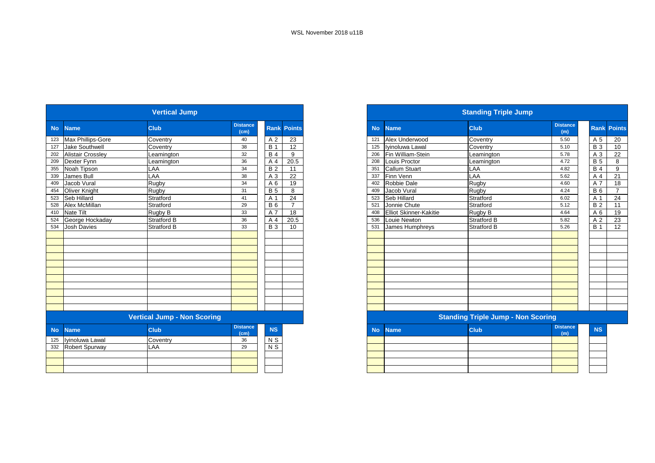|           | <b>Vertical Jump</b>     |                                    |                                      |                  |  |                    |  |  |  |  |  |
|-----------|--------------------------|------------------------------------|--------------------------------------|------------------|--|--------------------|--|--|--|--|--|
| <b>No</b> | <b>Name</b>              | Club                               | <b>Distance</b><br>(cm)              |                  |  | <b>Rank Points</b> |  |  |  |  |  |
| 123       | Max Phillips-Gore        | Coventry                           | 40                                   | A <sub>2</sub>   |  | 23                 |  |  |  |  |  |
| 127       | <b>Jake Southwell</b>    | Coventry                           | 38                                   | <b>B</b> 1       |  | 12                 |  |  |  |  |  |
| 202       | <b>Alistair Crossley</b> | Leamington                         | 32                                   | <b>B4</b>        |  | 9                  |  |  |  |  |  |
| 209       | Dexter Fynn              | Leamington                         | 36                                   | A 4              |  | 20.5               |  |  |  |  |  |
| 355       | Noah Tipson              | LAA                                | 34                                   | <b>B2</b>        |  | 11                 |  |  |  |  |  |
| 339       | James Bull               | LAA                                | 38                                   | A <sub>3</sub>   |  | 22                 |  |  |  |  |  |
| 409       | Jacob Vural              | Rugby                              | 34                                   | A 6              |  | 19                 |  |  |  |  |  |
| 454       | Oliver Knight            | Rugby                              | 31                                   | <b>B5</b>        |  | 8                  |  |  |  |  |  |
| 523       | Seb Hillard              | Stratford                          | 41                                   | A 1              |  | 24                 |  |  |  |  |  |
| 528       | Alex McMillan            | Stratford                          | 29                                   | <b>B6</b>        |  | $\overline{7}$     |  |  |  |  |  |
| 410       | Nate Tilt                | Rugby B                            | 33                                   | A 7              |  | 18                 |  |  |  |  |  |
| 524       | George Hockaday          | <b>Stratford B</b>                 | 36                                   | A 4              |  | 20.5               |  |  |  |  |  |
| 534       | <b>Josh Davies</b>       | <b>Stratford B</b>                 | 33                                   | <b>B</b> 3       |  | 10                 |  |  |  |  |  |
|           |                          |                                    |                                      |                  |  |                    |  |  |  |  |  |
|           |                          |                                    |                                      |                  |  |                    |  |  |  |  |  |
|           |                          |                                    |                                      |                  |  |                    |  |  |  |  |  |
|           |                          |                                    |                                      |                  |  |                    |  |  |  |  |  |
|           |                          |                                    |                                      |                  |  |                    |  |  |  |  |  |
|           |                          |                                    |                                      |                  |  |                    |  |  |  |  |  |
|           |                          |                                    |                                      |                  |  |                    |  |  |  |  |  |
|           |                          |                                    |                                      |                  |  |                    |  |  |  |  |  |
|           |                          |                                    |                                      |                  |  |                    |  |  |  |  |  |
|           |                          |                                    |                                      |                  |  |                    |  |  |  |  |  |
|           |                          |                                    |                                      |                  |  |                    |  |  |  |  |  |
|           |                          | <b>Vertical Jump - Non Scoring</b> |                                      |                  |  |                    |  |  |  |  |  |
| <b>No</b> | <b>Name</b>              | <b>Club</b>                        | <b>Distance</b><br>(c <sub>m</sub> ) | <b>NS</b>        |  |                    |  |  |  |  |  |
| 125       | Iyinoluwa Lawal          | Coventry                           | 36                                   | N S              |  |                    |  |  |  |  |  |
| 332       | Robert Spurway           | LAA                                | 29                                   | $\overline{N}$ S |  |                    |  |  |  |  |  |
|           |                          |                                    |                                      |                  |  |                    |  |  |  |  |  |
|           |                          |                                    |                                      |                  |  |                    |  |  |  |  |  |
|           |                          |                                    |                                      |                  |  |                    |  |  |  |  |  |

|           |                               | <b>Standing Triple Jump</b>               |                        |                |                    |
|-----------|-------------------------------|-------------------------------------------|------------------------|----------------|--------------------|
| <b>No</b> | <b>Name</b>                   | <b>Club</b>                               | <b>Distance</b><br>(m) |                | <b>Rank Points</b> |
| 121       | Alex Underwood                | Coventry                                  | 5.50                   | A 5            | 20                 |
| 125       | Iyinoluwa Lawal               | Coventry                                  | 5.10                   | <b>B</b> 3     | 10                 |
| 206       | Fin William-Stein             | Leamington                                | 5.78                   | A 3            | 22                 |
| 208       | Louis Proctor                 | Leamington                                | 4.72                   | <b>B</b> 5     | 8                  |
| 351       | <b>Callum Stuart</b>          | LAA                                       | 4.82                   | <b>B4</b>      | 9                  |
| 337       | Finn Venn                     | LAA                                       | 5.62                   | A <sub>4</sub> | 21                 |
| 402       | Robbie Dale                   | Rugby                                     | 4.60                   | A 7            | 18                 |
| 409       | Jacob Vural                   | Rugby                                     | 4.24                   | <b>B</b> 6     | $\overline{7}$     |
| 523       | Seb Hillard                   | Stratford                                 | 6.02                   | A 1            | 24                 |
| 521       | Jonnie Chute                  | Stratford                                 | 5.12                   | <b>B2</b>      | 11                 |
| 408       | <b>Elliot Skinner-Kakitie</b> | Rugby B                                   | 4.64                   | A <sub>6</sub> | 19                 |
| 536       | Louie Newton                  | Stratford B                               | 5.82                   | A 2            | 23                 |
| 531       | <b>James Humphreys</b>        | <b>Stratford B</b>                        | 5.26                   | <b>B</b> 1     | 12                 |
|           |                               |                                           |                        |                |                    |
|           |                               |                                           |                        |                |                    |
|           |                               |                                           |                        |                |                    |
|           |                               |                                           |                        |                |                    |
|           |                               |                                           |                        |                |                    |
|           |                               |                                           |                        |                |                    |
|           |                               |                                           |                        |                |                    |
|           |                               |                                           |                        |                |                    |
|           |                               |                                           |                        |                |                    |
|           |                               |                                           |                        |                |                    |
|           |                               |                                           |                        |                |                    |
|           |                               | <b>Standing Triple Jump - Non Scoring</b> |                        |                |                    |
| <b>No</b> | <b>Name</b>                   | <b>Club</b>                               | <b>Distance</b><br>(m) | <b>NS</b>      |                    |
|           |                               |                                           |                        |                |                    |
|           |                               |                                           |                        |                |                    |
|           |                               |                                           |                        |                |                    |
|           |                               |                                           |                        |                |                    |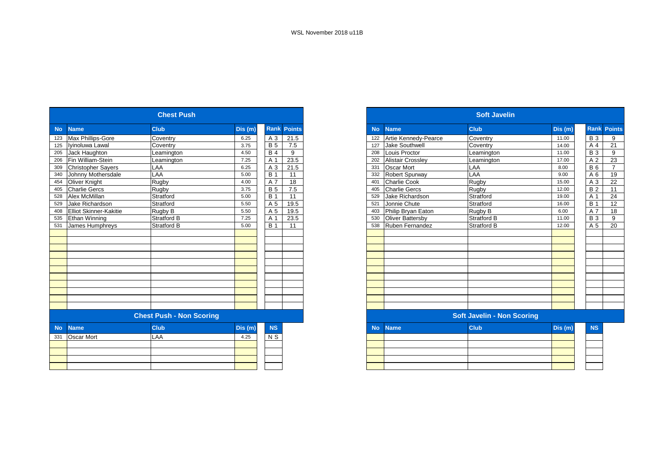|           | <b>Chest Push</b>             |                                 |        |                |                    |  |  |  |  |  |  |  |
|-----------|-------------------------------|---------------------------------|--------|----------------|--------------------|--|--|--|--|--|--|--|
| <b>No</b> | <b>Name</b>                   | <b>Club</b>                     | Dis(m) |                | <b>Rank Points</b> |  |  |  |  |  |  |  |
| 123       | Max Phillips-Gore             | Coventry                        | 6.25   | A 3            | 21.5               |  |  |  |  |  |  |  |
| 125       | Iyinoluwa Lawal               | Coventry                        | 3.75   | <b>B</b> 5     | 7.5                |  |  |  |  |  |  |  |
| 205       | Jack Haughton                 | Leamington                      | 4.50   | <b>B</b> 4     | 9                  |  |  |  |  |  |  |  |
| 206       | Fin William-Stein             | Leamington                      | 7.25   | A 1            | 23.5               |  |  |  |  |  |  |  |
| 309       | <b>Christopher Sayers</b>     | LAA                             | 6.25   | A 3            | 21.5               |  |  |  |  |  |  |  |
| 340       | Johnny Mothersdale            | LAA                             | 5.00   | <b>B</b> 1     | 11                 |  |  |  |  |  |  |  |
| 454       | Oliver Knight                 | Rugby                           | 4.00   | A 7            | 18                 |  |  |  |  |  |  |  |
| 405       | <b>Charlie Gercs</b>          | Rugby                           | 3.75   | <b>B</b> 5     | 7.5                |  |  |  |  |  |  |  |
| 528       | Alex McMillan                 | Stratford                       | 5.00   | <b>B</b> 1     | 11                 |  |  |  |  |  |  |  |
| 529       | Jake Richardson               | Stratford                       | 5.50   | A 5            | 19.5               |  |  |  |  |  |  |  |
| 408       | <b>Elliot Skinner-Kakitie</b> | Rugby B                         | 5.50   | A 5            | 19.5               |  |  |  |  |  |  |  |
| 535       | <b>Ethan Winning</b>          | Stratford B                     | 7.25   | A 1            | 23.5               |  |  |  |  |  |  |  |
| 531       | James Humphreys               | <b>Stratford B</b>              | 5.00   | <b>B</b> 1     | 11                 |  |  |  |  |  |  |  |
|           |                               |                                 |        |                |                    |  |  |  |  |  |  |  |
|           |                               |                                 |        |                |                    |  |  |  |  |  |  |  |
|           |                               |                                 |        |                |                    |  |  |  |  |  |  |  |
|           |                               |                                 |        |                |                    |  |  |  |  |  |  |  |
|           |                               |                                 |        |                |                    |  |  |  |  |  |  |  |
|           |                               |                                 |        |                |                    |  |  |  |  |  |  |  |
|           |                               |                                 |        |                |                    |  |  |  |  |  |  |  |
|           |                               |                                 |        |                |                    |  |  |  |  |  |  |  |
|           |                               |                                 |        |                |                    |  |  |  |  |  |  |  |
|           |                               |                                 |        |                |                    |  |  |  |  |  |  |  |
|           |                               |                                 |        |                |                    |  |  |  |  |  |  |  |
|           |                               | <b>Chest Push - Non Scoring</b> |        |                |                    |  |  |  |  |  |  |  |
| <b>No</b> | <b>Name</b>                   | <b>Club</b>                     | Dis(m) | <b>NS</b>      |                    |  |  |  |  |  |  |  |
| 331       | Oscar Mort                    | LAA                             | 4.25   | N <sub>S</sub> |                    |  |  |  |  |  |  |  |
|           |                               |                                 |        |                |                    |  |  |  |  |  |  |  |
|           |                               |                                 |        |                |                    |  |  |  |  |  |  |  |
|           |                               |                                 |        |                |                    |  |  |  |  |  |  |  |
|           |                               |                                 |        |                |                    |  |  |  |  |  |  |  |
|           |                               |                                 |        |                |                    |  |  |  |  |  |  |  |

|           |                                   | <b>Soft Javelin</b> |         |                |                    |  |  |  |  |  |
|-----------|-----------------------------------|---------------------|---------|----------------|--------------------|--|--|--|--|--|
| <b>No</b> | <b>Name</b>                       | <b>Club</b>         | Dis(m)  |                | <b>Rank Points</b> |  |  |  |  |  |
| 122       | Artie Kennedy-Pearce              | Coventry            | 11.00   | <b>B3</b>      | 9                  |  |  |  |  |  |
| 127       | Jake Southwell                    | Coventry            | 14.00   | A <sub>4</sub> | 21                 |  |  |  |  |  |
| 208       | Louis Proctor                     | Leamington          | 11.00   | <b>B</b> 3     | 9                  |  |  |  |  |  |
| 202       | <b>Alistair Crossley</b>          | Leamington          | 17.00   | A <sub>2</sub> | 23                 |  |  |  |  |  |
| 331       | Oscar Mort                        | LAA                 | 8.00    | <b>B</b> 6     | $\overline{7}$     |  |  |  |  |  |
| 332       | Robert Spurway                    | LAA                 | 9.00    | A <sub>6</sub> | 19                 |  |  |  |  |  |
| 401       | <b>Charlie Cook</b>               | Rugby               | 15.00   | A 3            | 22                 |  |  |  |  |  |
| 405       | <b>Charlie Gercs</b>              | Rugby               | 12.00   | <b>B2</b>      | 11                 |  |  |  |  |  |
| 529       | Jake Richardson                   | Stratford           | 19.00   | A 1            | 24                 |  |  |  |  |  |
| 521       | Jonnie Chute                      | Stratford           | 16.00   | <b>B</b> 1     | 12                 |  |  |  |  |  |
| 403       | Philip Bryan Eaton                | Rugby B             | 6.00    | A 7            | 18                 |  |  |  |  |  |
| 530       | Oliver Battersby                  | Stratford B         | 11.00   | <b>B3</b>      | 9                  |  |  |  |  |  |
| 538       | <b>Ruben Fernandez</b>            | Stratford B         | 12.00   | A 5            | 20                 |  |  |  |  |  |
|           |                                   |                     |         |                |                    |  |  |  |  |  |
|           |                                   |                     |         |                |                    |  |  |  |  |  |
|           |                                   |                     |         |                |                    |  |  |  |  |  |
|           |                                   |                     |         |                |                    |  |  |  |  |  |
|           |                                   |                     |         |                |                    |  |  |  |  |  |
|           |                                   |                     |         |                |                    |  |  |  |  |  |
|           |                                   |                     |         |                |                    |  |  |  |  |  |
|           |                                   |                     |         |                |                    |  |  |  |  |  |
|           |                                   |                     |         |                |                    |  |  |  |  |  |
|           |                                   |                     |         |                |                    |  |  |  |  |  |
|           |                                   |                     |         |                |                    |  |  |  |  |  |
|           | <b>Soft Javelin - Non Scoring</b> |                     |         |                |                    |  |  |  |  |  |
| <b>No</b> | <b>Name</b>                       | <b>Club</b>         | Dis (m) | <b>NS</b>      |                    |  |  |  |  |  |
|           |                                   |                     |         |                |                    |  |  |  |  |  |
|           |                                   |                     |         |                |                    |  |  |  |  |  |
|           |                                   |                     |         |                |                    |  |  |  |  |  |
|           |                                   |                     |         |                |                    |  |  |  |  |  |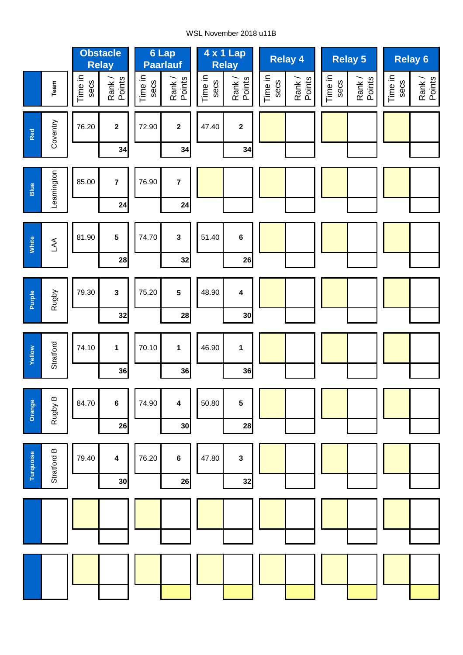### WSL November 2018 u11B

|           |             |                 | <b>Obstacle</b><br><b>Relay</b> |                 | 6 Lap<br>Paarlauf    |                 | 4 x 1 Lap<br><b>Relay</b>     | <b>Relay 4</b>                      | <b>Relay 5</b>                      | <b>Relay 6</b>                      |
|-----------|-------------|-----------------|---------------------------------|-----------------|----------------------|-----------------|-------------------------------|-------------------------------------|-------------------------------------|-------------------------------------|
|           | Team        | Time in<br>secs | Rank /<br>Points                | Time in<br>secs | Rank /<br>Points     | Time in<br>secs | Rank /<br>Points              | Time in<br>Rank /<br>Points<br>secs | Time in<br>Rank /<br>Points<br>secs | Time in<br>Rank /<br>Points<br>secs |
| Red       | Coventry    | 76.20           | $\mathbf{2}$<br>34              | 72.90           | $\mathbf 2$<br>34    | 47.40           | $\boldsymbol{2}$<br>34        |                                     |                                     |                                     |
| Blue      | Leamington  | 85.00           | $\overline{7}$<br>24            | 76.90           | $\overline{7}$<br>24 |                 |                               |                                     |                                     |                                     |
| White     | $\mathbb A$ | 81.90           | $5\phantom{a}$<br>28            | 74.70           | $\mathbf{3}$<br>32   | 51.40           | $\bf 6$<br>26                 |                                     |                                     |                                     |
| Purple    | Rugby       | 79.30           | $\mathbf{3}$<br>32              | 75.20           | 5<br>28              | 48.90           | $\overline{\mathbf{4}}$<br>30 |                                     |                                     |                                     |
| Yellow    | Stratford   | 74.10           | $\mathbf{1}$<br>36              | 70.10           | $\mathbf{1}$<br>36   | 46.90           | $\mathbf{1}$<br>36            |                                     |                                     |                                     |
| Orange    | Rugby B     | 84.70           | $\bf 6$<br>26                   | 74.90           | 4<br>30              | 50.80           | 5<br>28                       |                                     |                                     |                                     |
| Turquoise | Stratford B | 79.40           | 4<br>30                         | 76.20           | 6<br>26              | 47.80           | $\mathbf 3$<br>32             |                                     |                                     |                                     |
|           |             |                 |                                 |                 |                      |                 |                               |                                     |                                     |                                     |
|           |             |                 |                                 |                 |                      |                 |                               |                                     |                                     |                                     |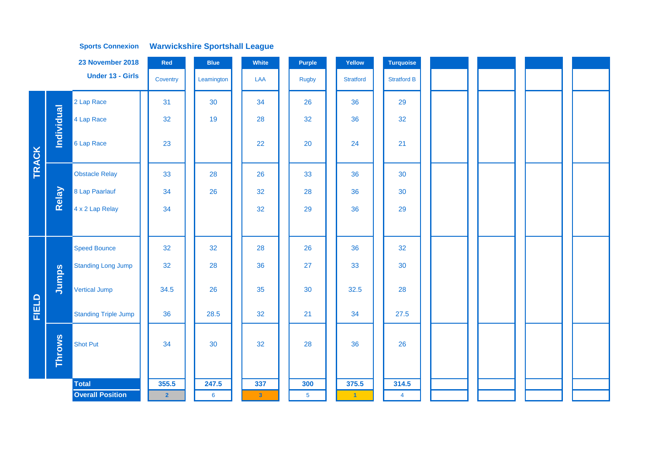|            | 23 November 2018                    |                             | Red            | <b>Blue</b>    | White        | Purple         | Yellow           | <b>Turquoise</b>   |  |  |
|------------|-------------------------------------|-----------------------------|----------------|----------------|--------------|----------------|------------------|--------------------|--|--|
|            | <b>Under 13 - Girls</b><br>Coventry |                             |                | Leamington     | LAA          | <b>Rugby</b>   | <b>Stratford</b> | <b>Stratford B</b> |  |  |
|            |                                     | 2 Lap Race                  | 31             | 30             | 34           | 26             | 36               | 29                 |  |  |
|            | Individual                          | 4 Lap Race                  | 32             | 19             | 28           | 32             | 36               | 32                 |  |  |
| TRACK      |                                     | 6 Lap Race                  | 23             |                | 22           | 20             | 24               | 21                 |  |  |
|            |                                     | <b>Obstacle Relay</b>       | 33             | 28             | 26           | 33             | 36               | 30                 |  |  |
|            | Relay                               | 8 Lap Paarlauf              | 34             | 26             | 32           | 28             | 36               | 30                 |  |  |
|            |                                     | 4 x 2 Lap Relay             | 34             |                | 32           | 29             | 36               | 29                 |  |  |
|            |                                     |                             |                |                |              |                |                  |                    |  |  |
|            |                                     | <b>Speed Bounce</b>         | 32             | 32             | 28           | 26             | 36               | 32                 |  |  |
|            |                                     | <b>Standing Long Jump</b>   | 32             | 28             | 36           | 27             | 33               | 30                 |  |  |
|            | Jumps                               | <b>Vertical Jump</b>        | 34.5           | 26             | 35           | 30             | 32.5             | 28                 |  |  |
| FIELD<br>H |                                     | <b>Standing Triple Jump</b> | 36             | 28.5           | 32           | 21             | 34               | 27.5               |  |  |
|            | <b>Throws</b>                       | <b>Shot Put</b>             | 34             | 30             | 32           | 28             | 36               | 26                 |  |  |
|            |                                     | <b>Total</b>                | 355.5          | 247.5          | 337          | 300            | 375.5            | 314.5              |  |  |
|            |                                     | <b>Overall Position</b>     | $\overline{2}$ | $6\phantom{1}$ | $\mathbf{3}$ | $\overline{5}$ | $\vert 1 \vert$  | $\overline{4}$     |  |  |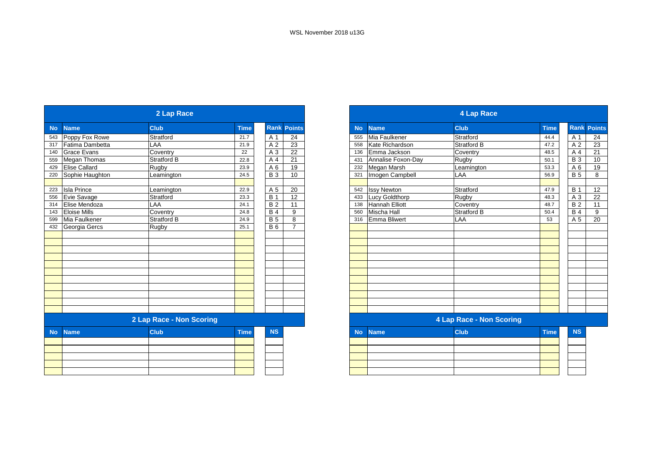| 2 Lap Race |                      |                          |             |                |                    |  |  |  |  |  |  |
|------------|----------------------|--------------------------|-------------|----------------|--------------------|--|--|--|--|--|--|
| <b>No</b>  | <b>Name</b>          | <b>Club</b>              | <b>Time</b> |                | <b>Rank Points</b> |  |  |  |  |  |  |
| 543        | Poppy Fox Rowe       | Stratford                | 21.7        | A <sub>1</sub> | 24                 |  |  |  |  |  |  |
| 317        | Fatima Dambetta      | LAA                      | 21.9        | A <sub>2</sub> | 23                 |  |  |  |  |  |  |
| 140        | <b>Grace Evans</b>   | Coventry                 | 22          | A <sub>3</sub> | 22                 |  |  |  |  |  |  |
| 559        | Megan Thomas         | <b>Stratford B</b>       | 22.8        | A <sub>4</sub> | 21                 |  |  |  |  |  |  |
| 429        | <b>Elise Callard</b> | Rugby                    | 23.9        | A6             | 19                 |  |  |  |  |  |  |
| 220        | Sophie Haughton      | Leamington               | 24.5        | <b>B</b> 3     | 10                 |  |  |  |  |  |  |
|            |                      |                          |             |                |                    |  |  |  |  |  |  |
| 223        | <b>Isla Prince</b>   | Leamington               | 22.9        | A 5            | 20                 |  |  |  |  |  |  |
| 556        | Evie Savage          | Stratford                | 23.3        | <b>B</b> 1     | 12                 |  |  |  |  |  |  |
| 314        | Elise Mendoza        | LAA                      | 24.1        | <b>B2</b>      | 11                 |  |  |  |  |  |  |
| 143        | <b>Eloise Mills</b>  | Coventry                 | 24.8        | <b>B4</b>      | 9                  |  |  |  |  |  |  |
| 599        | Mia Faulkener        | Stratford B              | 24.9        | <b>B5</b>      | 8                  |  |  |  |  |  |  |
| 432        | Georgia Gercs        | Rugby                    | 25.1        | <b>B6</b>      | $\overline{7}$     |  |  |  |  |  |  |
|            |                      |                          |             |                |                    |  |  |  |  |  |  |
|            |                      |                          |             |                |                    |  |  |  |  |  |  |
|            |                      |                          |             |                |                    |  |  |  |  |  |  |
|            |                      |                          |             |                |                    |  |  |  |  |  |  |
|            |                      |                          |             |                |                    |  |  |  |  |  |  |
|            |                      |                          |             |                |                    |  |  |  |  |  |  |
|            |                      |                          |             |                |                    |  |  |  |  |  |  |
|            |                      |                          |             |                |                    |  |  |  |  |  |  |
|            |                      |                          |             |                |                    |  |  |  |  |  |  |
|            |                      |                          |             |                |                    |  |  |  |  |  |  |
|            |                      |                          |             |                |                    |  |  |  |  |  |  |
|            |                      | 2 Lap Race - Non Scoring |             |                |                    |  |  |  |  |  |  |
| <b>No</b>  | <b>Name</b>          | <b>Club</b>              | <b>Time</b> | <b>NS</b>      |                    |  |  |  |  |  |  |
|            |                      |                          |             |                |                    |  |  |  |  |  |  |
|            |                      |                          |             |                |                    |  |  |  |  |  |  |
|            |                      |                          |             |                |                    |  |  |  |  |  |  |
|            |                      |                          |             |                |                    |  |  |  |  |  |  |
|            |                      |                          |             |                |                    |  |  |  |  |  |  |

|           |                       | 4 Lap Race                      |             |                |                    |
|-----------|-----------------------|---------------------------------|-------------|----------------|--------------------|
| <b>No</b> | <b>Name</b>           | <b>Club</b>                     | <b>Time</b> |                | <b>Rank Points</b> |
| 555       | Mia Faulkener         | Stratford                       | 44.4        | A 1            | 24                 |
| 558       | Kate Richardson       | Stratford B                     | 47.2        | A <sub>2</sub> | 23                 |
| 136       | Emma Jackson          | Coventry                        | 48.5        | A 4            | 21                 |
| 431       | Annalise Foxon-Day    | Rugby                           | 50.1        | <b>B</b> 3     | 10                 |
| 232       | Megan Marsh           | Leamington                      | 53.3        | A <sub>6</sub> | 19                 |
| 321       | Imogen Campbell       | LAA                             | 56.9        | <b>B</b> 5     | 8                  |
|           |                       |                                 |             |                |                    |
| 542       | <b>Issy Newton</b>    | Stratford                       | 47.9        | <b>B</b> 1     | 12                 |
| 433       | Lucy Goldthorp        | Rugby                           | 48.3        | A <sub>3</sub> | 22                 |
| 138       | <b>Hannah Elliott</b> | Coventry                        | 48.7        | <b>B2</b>      | 11                 |
| 560       | Mischa Hall           | Stratford B                     | 50.4        | <b>B4</b>      | 9                  |
| 316       | <b>Emma Bliwert</b>   | LAA                             | 53          | A 5            | 20                 |
|           |                       |                                 |             |                |                    |
|           |                       |                                 |             |                |                    |
|           |                       |                                 |             |                |                    |
|           |                       |                                 |             |                |                    |
|           |                       |                                 |             |                |                    |
|           |                       |                                 |             |                |                    |
|           |                       |                                 |             |                |                    |
|           |                       |                                 |             |                |                    |
|           |                       |                                 |             |                |                    |
|           |                       |                                 |             |                |                    |
|           |                       |                                 |             |                |                    |
|           |                       |                                 |             |                |                    |
|           |                       | <b>4 Lap Race - Non Scoring</b> |             |                |                    |
| <b>No</b> | <b>Name</b>           | <b>Club</b>                     | <b>Time</b> | <b>NS</b>      |                    |
|           |                       |                                 |             |                |                    |

|  | the contract of the contract of the con- |  |  |
|--|------------------------------------------|--|--|
|  |                                          |  |  |
|  | the contract of the contract of the      |  |  |
|  |                                          |  |  |
|  |                                          |  |  |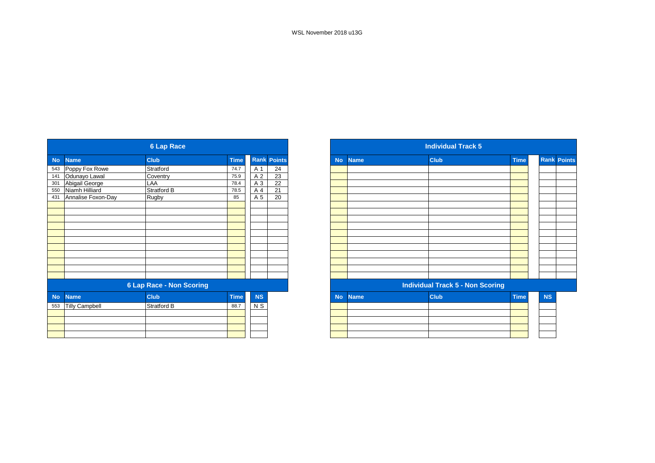| <b>6 Lap Race</b> |                       |                                 |             |                |                    |  |  |
|-------------------|-----------------------|---------------------------------|-------------|----------------|--------------------|--|--|
| <b>No</b>         | <b>Name</b>           | <b>Club</b>                     | <b>Time</b> |                | <b>Rank Points</b> |  |  |
| 543               | Poppy Fox Rowe        | Stratford                       | 74.7        | A <sub>1</sub> | 24                 |  |  |
| 141               | Odunayo Lawal         | Coventry                        | 75.9        | A <sub>2</sub> | 23                 |  |  |
| 301               | Abigail George        | LAA                             | 78.4        | A 3            | 22                 |  |  |
| 550               | Niamh Hilliard        | Stratford B                     | 78.5        | A 4            | 21                 |  |  |
| 431               | Annalise Foxon-Day    | Rugby                           | 85          | A 5            | 20                 |  |  |
|                   |                       |                                 |             |                |                    |  |  |
|                   |                       |                                 |             |                |                    |  |  |
|                   |                       |                                 |             |                |                    |  |  |
|                   |                       |                                 |             |                |                    |  |  |
|                   |                       |                                 |             |                |                    |  |  |
|                   |                       |                                 |             |                |                    |  |  |
|                   |                       |                                 |             |                |                    |  |  |
|                   |                       |                                 |             |                |                    |  |  |
|                   |                       |                                 |             |                |                    |  |  |
|                   |                       |                                 |             |                |                    |  |  |
|                   |                       |                                 |             |                |                    |  |  |
|                   |                       | <b>6 Lap Race - Non Scoring</b> |             |                |                    |  |  |
| <b>No</b>         | <b>Name</b>           | <b>Club</b>                     | <b>Time</b> | <b>NS</b>      |                    |  |  |
| 553               | <b>Tilly Campbell</b> | Stratford B                     | 88.7        | N S            |                    |  |  |
|                   |                       |                                 |             |                |                    |  |  |
|                   |                       |                                 |             |                |                    |  |  |
|                   |                       |                                 |             |                |                    |  |  |
|                   |                       |                                 |             |                |                    |  |  |

| <b>Individual Track 5</b> |             |                                         |             |           |                    |  |  |
|---------------------------|-------------|-----------------------------------------|-------------|-----------|--------------------|--|--|
| <b>No</b>                 | <b>Name</b> | <b>Club</b>                             | <b>Time</b> |           | <b>Rank Points</b> |  |  |
|                           |             |                                         |             |           |                    |  |  |
|                           |             |                                         |             |           |                    |  |  |
|                           |             |                                         |             |           |                    |  |  |
|                           |             |                                         |             |           |                    |  |  |
|                           |             |                                         |             |           |                    |  |  |
|                           |             |                                         |             |           |                    |  |  |
|                           |             |                                         |             |           |                    |  |  |
|                           |             |                                         |             |           |                    |  |  |
|                           |             |                                         |             |           |                    |  |  |
|                           |             |                                         |             |           |                    |  |  |
|                           |             |                                         |             |           |                    |  |  |
|                           |             |                                         |             |           |                    |  |  |
|                           |             | <b>Individual Track 5 - Non Scoring</b> |             |           |                    |  |  |
| <b>No</b>                 | <b>Name</b> | <b>Club</b>                             | <b>Time</b> | <b>NS</b> |                    |  |  |
|                           |             |                                         |             |           |                    |  |  |
|                           |             |                                         |             |           |                    |  |  |
|                           |             |                                         |             |           |                    |  |  |
|                           |             |                                         |             |           |                    |  |  |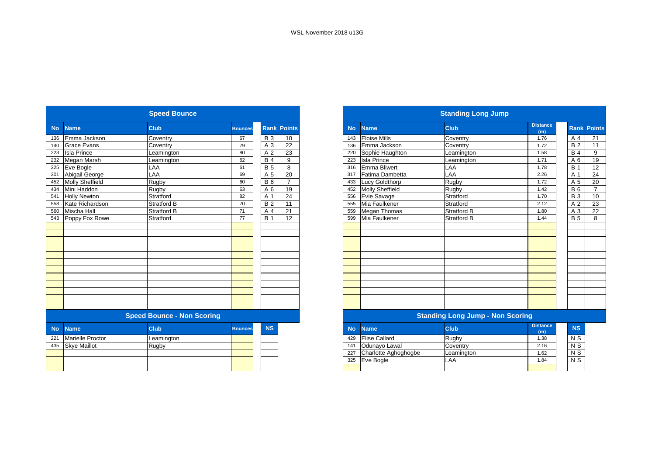325 Eve Bogle

|           |                         | <b>Speed Bounce</b>               |                |                |                    |
|-----------|-------------------------|-----------------------------------|----------------|----------------|--------------------|
| <b>No</b> | <b>Name</b>             | <b>Club</b>                       | <b>Bounces</b> |                | <b>Rank Points</b> |
| 136       | Emma Jackson            | Coventry                          | 67             | <b>B</b> 3     | 10                 |
| 140       | <b>Grace Evans</b>      | Coventry                          | 79             | A 3            | 22                 |
| 223       | <b>Isla Prince</b>      | Leamington                        | 80             | A <sub>2</sub> | 23                 |
| 232       | Megan Marsh             | Leamington                        | 62             | <b>B4</b>      | 9                  |
| 325       | Eve Bogle               | LAA                               | 61             | <b>B</b> 5     | 8                  |
| 301       | Abigail George          | LAA                               | 69             | A 5            | 20                 |
| 452       | Molly Sheffield         | Rugby                             | 60             | <b>B6</b>      | $\overline{7}$     |
| 434       | Mini Haddon             | Rugby                             | 63             | A 6            | 19                 |
| 541       | <b>Holly Newton</b>     | Stratford                         | 82             | A 1            | 24                 |
| 558       | Kate Richardson         | <b>Stratford B</b>                | 70             | <b>B2</b>      | 11                 |
| 560       | Mischa Hall             | <b>Stratford B</b>                | 71             | A 4            | 21                 |
| 543       | Poppy Fox Rowe          | Stratford                         | 77             | <b>B</b> 1     | 12                 |
|           |                         |                                   |                |                |                    |
|           |                         |                                   |                |                |                    |
|           |                         |                                   |                |                |                    |
|           |                         |                                   |                |                |                    |
|           |                         |                                   |                |                |                    |
|           |                         |                                   |                |                |                    |
|           |                         |                                   |                |                |                    |
|           |                         |                                   |                |                |                    |
|           |                         |                                   |                |                |                    |
|           |                         |                                   |                |                |                    |
|           |                         |                                   |                |                |                    |
|           |                         |                                   |                |                |                    |
|           |                         | <b>Speed Bounce - Non Scoring</b> |                |                |                    |
| <b>No</b> | <b>Name</b>             | <b>Club</b>                       | <b>Bounces</b> | <b>NS</b>      |                    |
| 221       | <b>Marielle Proctor</b> | Leamington                        |                |                |                    |
| 435       | <b>Skye Maillot</b>     | Rugby                             |                |                |                    |
|           |                         |                                   |                |                |                    |
|           |                         |                                   |                |                |                    |
|           |                         |                                   |                |                |                    |
|           |                         |                                   |                |                |                    |

|           |                      | <b>Standing Long Jump</b>               |                        |                           |                    |
|-----------|----------------------|-----------------------------------------|------------------------|---------------------------|--------------------|
| <b>No</b> | <b>Name</b>          | <b>Club</b>                             | <b>Distance</b><br>(m) |                           | <b>Rank Points</b> |
| 143       | <b>Eloise Mills</b>  | Coventry                                | 1.76                   | A 4                       | 21                 |
| 136       | Emma Jackson         | Coventrv                                | 1.72                   | <b>B2</b>                 | 11                 |
| 220       | Sophie Haughton      | Leamington                              | 1.58                   | <b>B4</b>                 | 9                  |
| 223       | <b>Isla Prince</b>   | Leamington                              | 1.71                   | A <sub>6</sub>            | 19                 |
| 316       | <b>Emma Bliwert</b>  | LAA                                     | 1.78                   | <b>B</b> 1                | 12                 |
| 317       | Fatima Dambetta      | LAA                                     | 2.26                   | A 1                       | 24                 |
| 433       | Lucy Goldthorp       | Rugby                                   | 1.72                   | A 5                       | 20                 |
| 452       | Molly Sheffield      | Rugby                                   | 1.42                   | <b>B</b> 6                | $\overline{7}$     |
| 556       | Evie Savage          | Stratford                               | 1.70                   | <b>B</b> 3                | 10                 |
| 555       | Mia Faulkener        | Stratford                               | 2.12                   | A <sub>2</sub>            | 23                 |
| 559       | Megan Thomas         | Stratford B                             | 1.80                   | A <sub>3</sub>            | 22                 |
| 599       | Mia Faulkener        | Stratford B                             | 1.44                   | <b>B</b> 5                | 8                  |
|           |                      |                                         |                        |                           |                    |
|           |                      |                                         |                        |                           |                    |
|           |                      |                                         |                        |                           |                    |
|           |                      |                                         |                        |                           |                    |
|           |                      |                                         |                        |                           |                    |
|           |                      |                                         |                        |                           |                    |
|           |                      |                                         |                        |                           |                    |
|           |                      |                                         |                        |                           |                    |
|           |                      |                                         |                        |                           |                    |
|           |                      |                                         |                        |                           |                    |
|           |                      |                                         |                        |                           |                    |
|           |                      |                                         |                        |                           |                    |
|           |                      | <b>Standing Long Jump - Non Scoring</b> |                        |                           |                    |
| <b>No</b> | <b>Name</b>          | <b>Club</b>                             | <b>Distance</b><br>(m) | <b>NS</b>                 |                    |
| 429       | <b>Elise Callard</b> | Rugby                                   | 1.38                   | N S                       |                    |
| 141       | Odunayo Lawal        | Coventry                                | 2.16                   | $\overline{\mathsf{N}}$ S |                    |
| 227       | Charlotte Aghoghoghe | eamington                               | 1.62                   | $N$ $S$                   |                    |

LAA

 $N$  S

1.84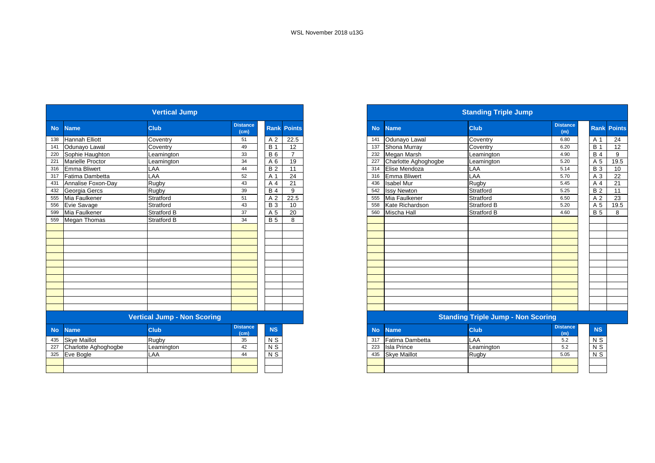|           |                         | <b>Vertical Jump</b>               |                                      |                |                    |
|-----------|-------------------------|------------------------------------|--------------------------------------|----------------|--------------------|
| <b>No</b> | <b>Name</b>             | Club                               | <b>Distance</b><br>(cm)              |                | <b>Rank Points</b> |
| 138       | <b>Hannah Elliott</b>   | Coventry                           | 51                                   | A 2            | 22.5               |
| 141       | Odunayo Lawal           | Coventry                           | 49                                   | <b>B</b> 1     | 12                 |
| 220       | Sophie Haughton         | Leamington                         | 33                                   | <b>B6</b>      | 7                  |
| 221       | <b>Marielle Proctor</b> | Leamington                         | 34                                   | A <sub>6</sub> | 19                 |
| 316       | <b>Emma Bliwert</b>     | LAA                                | 44                                   | <b>B2</b>      | 11                 |
| 317       | Fatima Dambetta         | LAA                                | 52                                   | A 1            | 24                 |
| 431       | Annalise Foxon-Day      | Rugby                              | 43                                   | A 4            | 21                 |
| 432       | Georgia Gercs           | Rugby                              | 39                                   | <b>B4</b>      | 9                  |
| 555       | Mia Faulkener           | Stratford                          | 51                                   | A <sub>2</sub> | 22.5               |
| 556       | Evie Savage             | Stratford                          | 43                                   | <b>B3</b>      | 10                 |
| 599       | Mia Faulkener           | <b>Stratford B</b>                 | 37                                   | A 5            | 20                 |
| 559       | <b>Megan Thomas</b>     | <b>Stratford B</b>                 | 34                                   | <b>B</b> 5     | 8                  |
|           |                         |                                    |                                      |                |                    |
|           |                         |                                    |                                      |                |                    |
|           |                         |                                    |                                      |                |                    |
|           |                         |                                    |                                      |                |                    |
|           |                         |                                    |                                      |                |                    |
|           |                         |                                    |                                      |                |                    |
|           |                         |                                    |                                      |                |                    |
|           |                         |                                    |                                      |                |                    |
|           |                         |                                    |                                      |                |                    |
|           |                         |                                    |                                      |                |                    |
|           |                         |                                    |                                      |                |                    |
|           |                         |                                    |                                      |                |                    |
|           |                         | <b>Vertical Jump - Non Scoring</b> |                                      |                |                    |
| <b>No</b> | <b>Name</b>             | <b>Club</b>                        | <b>Distance</b><br>(c <sub>m</sub> ) | <b>NS</b>      |                    |
| 435       | Skye Maillot            | Rugby                              | 35                                   | N S            |                    |
| 227       | Charlotte Aghoghogbe    | Leamington                         | 42                                   | N <sub>S</sub> |                    |
| 325       | Eve Bogle               | LAA                                | 44                                   | N <sub>S</sub> |                    |
|           |                         |                                    |                                      |                |                    |
|           |                         |                                    |                                      |                |                    |

|           |                      | <b>Standing Triple Jump</b>        |                        |                |                    |
|-----------|----------------------|------------------------------------|------------------------|----------------|--------------------|
| <b>No</b> | <b>Name</b>          | <b>Club</b>                        | <b>Distance</b><br>(m) |                | <b>Rank Points</b> |
| 141       | Odunayo Lawal        | Coventry                           | 6.80                   | A 1            | 24                 |
| 137       | Shona Murray         | Coventry                           | 6.20                   | <b>B</b> 1     | 12                 |
| 232       | Megan Marsh          | Leamington                         | 4.90                   | <b>B</b> 4     | 9                  |
| 227       | Charlotte Aghoghogbe | Leamington                         | 5.20                   | A 5            | 19.5               |
| 314       | Elise Mendoza        | LAA                                | 5.14                   | <b>B</b> 3     | 10                 |
| 316       | <b>Emma Bliwert</b>  | LAA                                | 5.70                   | A <sub>3</sub> | 22                 |
| 436       | <b>Isabel Mur</b>    | Rugby                              | 5.45                   | A 4            | 21                 |
| 542       | <b>Issy Newton</b>   | Stratford                          | 5.25                   | <b>B2</b>      | 11                 |
| 555       | Mia Faulkener        | Stratford                          | 6.50                   | A <sub>2</sub> | 23                 |
| 558       | Kate Richardson      | Stratford B                        | 5.20                   | A 5            | 19.5               |
| 560       | Mischa Hall          | Stratford B                        | 4.60                   | <b>B</b> 5     | 8                  |
|           |                      |                                    |                        |                |                    |
|           |                      |                                    |                        |                |                    |
|           |                      |                                    |                        |                |                    |
|           |                      |                                    |                        |                |                    |
|           |                      |                                    |                        |                |                    |
|           |                      |                                    |                        |                |                    |
|           |                      |                                    |                        |                |                    |
|           |                      |                                    |                        |                |                    |
|           |                      |                                    |                        |                |                    |
|           |                      |                                    |                        |                |                    |
|           |                      |                                    |                        |                |                    |
|           |                      |                                    |                        |                |                    |
|           |                      |                                    |                        |                |                    |
|           |                      | Standing Trinle Jumn - Non Scoring |                        |                |                    |

| <b>Property Triple Juliup - Non Scoring</b> |                   |
|---------------------------------------------|-------------------|
|                                             | <b>I</b> Industry |

| No. | <b>Name</b>         | <b>Club</b> | <b>Distance</b><br>(m) | <b>NS</b>      |
|-----|---------------------|-------------|------------------------|----------------|
| 317 | Fatima Dambetta     | LAA         | 5.2                    | N <sub>S</sub> |
| 223 | <b>Isla Prince</b>  | Leamington  | 5.2                    | N <sub>S</sub> |
| 435 | <b>Skve Maillot</b> | Rugby       | 5.05                   | N <sub>S</sub> |
|     |                     |             |                        |                |
|     |                     |             |                        |                |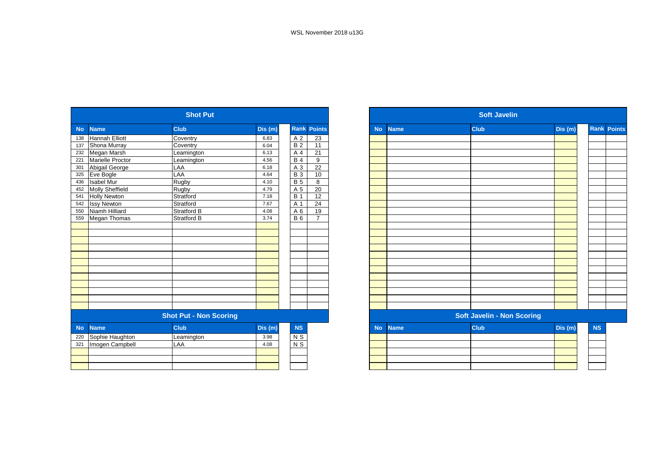|           |                       | <b>Shot Put</b>               |        |                                                 |                    |
|-----------|-----------------------|-------------------------------|--------|-------------------------------------------------|--------------------|
| <b>No</b> | <b>Name</b>           | <b>Club</b>                   | Dis(m) |                                                 | <b>Rank Points</b> |
| 138       | <b>Hannah Elliott</b> | Coventry                      | 6.83   | A <sub>2</sub>                                  | 23                 |
| 137       | Shona Murray          | Coventry                      | 6.04   | <b>B2</b>                                       | 11                 |
| 232       | Megan Marsh           | Leamington                    | 6.13   | A <sub>4</sub>                                  | 21                 |
| 221       | Marielle Proctor      | Leamington                    | 4.56   | <b>B4</b>                                       | 9                  |
| 301       | Abigail George        | LAA                           | 6.18   | A <sub>3</sub>                                  | 22                 |
| 325       | Eve Bogle             | LAA                           | 4.64   | <b>B3</b>                                       | 10                 |
| 436       | <b>Isabel Mur</b>     | Rugby                         | 4.10   | <b>B5</b>                                       | 8                  |
| 452       | Molly Sheffield       | Rugby                         | 4.79   | A 5                                             | 20                 |
| 541       | <b>Holly Newton</b>   | Stratford                     | 7.18   | <b>B</b> 1                                      | 12                 |
| 542       | <b>Issy Newton</b>    | Stratford                     | 7.67   | A 1                                             | 24                 |
| 550       | Niamh Hilliard        | Stratford B                   | 4.08   | A 6                                             | 19                 |
| 559       | Megan Thomas          | Stratford B                   | 3.74   | <b>B6</b>                                       | $\overline{7}$     |
|           |                       |                               |        |                                                 |                    |
|           |                       |                               |        |                                                 |                    |
|           |                       |                               |        |                                                 |                    |
|           |                       |                               |        |                                                 |                    |
|           |                       |                               |        |                                                 |                    |
|           |                       |                               |        |                                                 |                    |
|           |                       |                               |        |                                                 |                    |
|           |                       |                               |        |                                                 |                    |
|           |                       |                               |        |                                                 |                    |
|           |                       |                               |        |                                                 |                    |
|           |                       |                               |        |                                                 |                    |
|           |                       |                               |        |                                                 |                    |
|           |                       | <b>Shot Put - Non Scoring</b> |        |                                                 |                    |
| <b>No</b> | <b>Name</b>           | <b>Club</b>                   | Dis(m) | <b>NS</b>                                       |                    |
| 220       | Sophie Haughton       | Leamington                    | 3.98   | N S                                             |                    |
| 321       | Imogen Campbell       | LAA                           | 4.08   | $\overline{\mathsf{N}}$ $\overline{\mathsf{S}}$ |                    |
|           |                       |                               |        |                                                 |                    |
|           |                       |                               |        |                                                 |                    |
|           |                       |                               |        |                                                 |                    |

|           |             | <b>Soft Javelin</b>               |        |           |                    |
|-----------|-------------|-----------------------------------|--------|-----------|--------------------|
| <b>No</b> | <b>Name</b> | Club                              | Dis(m) |           | <b>Rank Points</b> |
|           |             |                                   |        |           |                    |
|           |             |                                   |        |           |                    |
|           |             |                                   |        |           |                    |
|           |             |                                   |        |           |                    |
|           |             |                                   |        |           |                    |
|           |             |                                   |        |           |                    |
|           |             |                                   |        |           |                    |
|           |             |                                   |        |           |                    |
|           |             |                                   |        |           |                    |
|           |             |                                   |        |           |                    |
|           |             |                                   |        |           |                    |
|           |             |                                   |        |           |                    |
|           |             |                                   |        |           |                    |
|           |             |                                   |        |           |                    |
|           |             |                                   |        |           |                    |
|           |             |                                   |        |           |                    |
|           |             |                                   |        |           |                    |
|           |             |                                   |        |           |                    |
|           |             |                                   |        |           |                    |
|           |             |                                   |        |           |                    |
|           |             |                                   |        |           |                    |
|           |             | <b>Soft Javelin - Non Scoring</b> |        |           |                    |
| <b>No</b> | <b>Name</b> | <b>Club</b>                       | Dis(m) | <b>NS</b> |                    |
|           |             |                                   |        |           |                    |
|           |             |                                   |        |           |                    |
|           |             |                                   |        |           |                    |
|           |             |                                   |        |           |                    |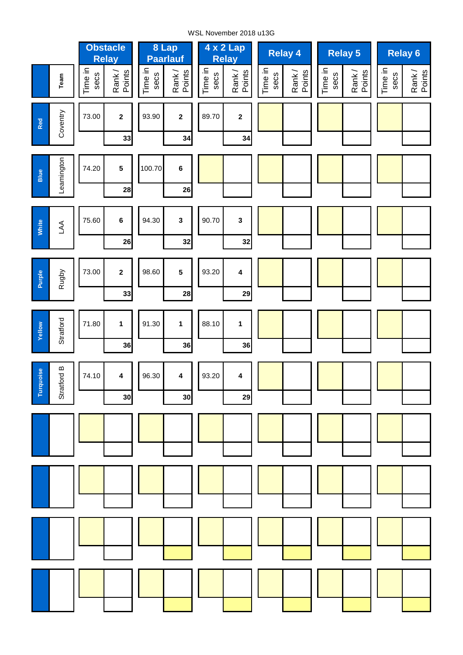#### WSL November 2018 u13G

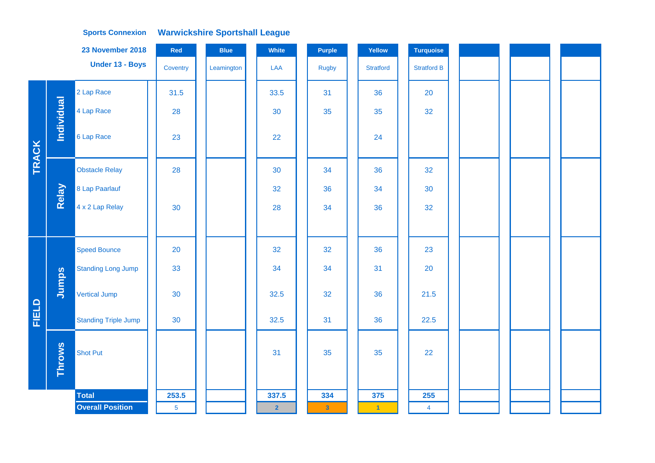|              |               | 23 November 2018            | Red            | <b>Blue</b> | White          | <b>Purple</b>           | Yellow           | <b>Turquoise</b>        |  |  |
|--------------|---------------|-----------------------------|----------------|-------------|----------------|-------------------------|------------------|-------------------------|--|--|
|              |               | Under 13 - Boys             | Coventry       | Leamington  | LAA            | <b>Rugby</b>            | <b>Stratford</b> | <b>Stratford B</b>      |  |  |
|              |               | 2 Lap Race                  | 31.5           |             | 33.5           | 31                      | 36               | 20                      |  |  |
| <b>TRACK</b> | Individual    | 4 Lap Race                  | 28             |             | 30             | 35                      | 35               | 32                      |  |  |
|              |               | 6 Lap Race                  | 23             |             | 22             |                         | 24               |                         |  |  |
|              |               | <b>Obstacle Relay</b>       | 28             |             | 30             | 34                      | 36               | 32                      |  |  |
|              | Relay         | 8 Lap Paarlauf              |                |             | 32             | 36                      | 34               | 30                      |  |  |
|              |               | 4 x 2 Lap Relay             | 30             |             | 28             | 34                      | 36               | 32                      |  |  |
|              |               |                             |                |             |                |                         |                  |                         |  |  |
|              |               | <b>Speed Bounce</b>         | 20             |             | 32             | 32                      | 36               | 23                      |  |  |
|              |               | <b>Standing Long Jump</b>   | 33             |             | 34             | 34                      | 31               | 20                      |  |  |
|              | Jumps         | <b>Vertical Jump</b>        | 30             |             | 32.5           | 32                      | 36               | 21.5                    |  |  |
| FIELD        |               | <b>Standing Triple Jump</b> | 30             |             | 32.5           | 31                      | 36               | 22.5                    |  |  |
|              | <b>Throws</b> | <b>Shot Put</b>             |                |             | 31             | 35                      | 35               | 22                      |  |  |
|              |               | <b>Total</b>                | 253.5          |             | 337.5          | 334                     | 375              | 255                     |  |  |
|              |               | <b>Overall Position</b>     | $\overline{5}$ |             | $\overline{2}$ | $\overline{\mathbf{3}}$ | $\vert$ 1        | $\overline{\mathbf{4}}$ |  |  |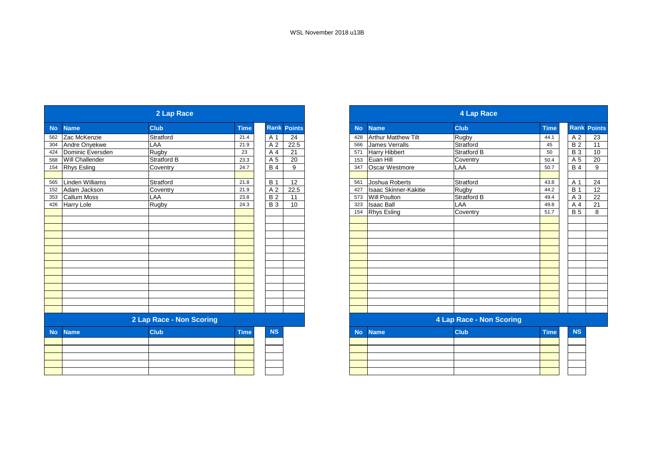| 2 Lap Race |                          |                    |             |                |                    |  |  |  |  |  |  |
|------------|--------------------------|--------------------|-------------|----------------|--------------------|--|--|--|--|--|--|
| <b>No</b>  | <b>Name</b>              | <b>Club</b>        | <b>Time</b> |                | <b>Rank Points</b> |  |  |  |  |  |  |
| 562        | Zac McKenzie             | Stratford          | 21.4        | A 1            | 24                 |  |  |  |  |  |  |
| 304        | Andre Onyekwe            | LAA                | 21.9        | A <sub>2</sub> | 22.5               |  |  |  |  |  |  |
| 424        | Dominic Eversden         | Rugby              | 23          | A 4            | 21                 |  |  |  |  |  |  |
| 568        | <b>Will Challender</b>   | <b>Stratford B</b> | 23.3        | A 5            | 20                 |  |  |  |  |  |  |
| 154        | Rhys Esling              | Coventry           | 24.7        | <b>B4</b>      | 9                  |  |  |  |  |  |  |
|            |                          |                    |             |                |                    |  |  |  |  |  |  |
| 565        | <b>Linden Williams</b>   | Stratford          | 21.8        | <b>B</b> 1     | 12                 |  |  |  |  |  |  |
| 152        | Adam Jackson             | Coventry           | 21.9        | A <sub>2</sub> | 22.5               |  |  |  |  |  |  |
| 353        | <b>Callum Moss</b>       | LAA                | 23.8        | <b>B2</b>      | 11                 |  |  |  |  |  |  |
| 426        | Harry Lole               | Rugby              | 24.3        | <b>B3</b>      | 10                 |  |  |  |  |  |  |
|            |                          |                    |             |                |                    |  |  |  |  |  |  |
|            |                          |                    |             |                |                    |  |  |  |  |  |  |
|            |                          |                    |             |                |                    |  |  |  |  |  |  |
|            |                          |                    |             |                |                    |  |  |  |  |  |  |
|            |                          |                    |             |                |                    |  |  |  |  |  |  |
|            |                          |                    |             |                |                    |  |  |  |  |  |  |
|            |                          |                    |             |                |                    |  |  |  |  |  |  |
|            |                          |                    |             |                |                    |  |  |  |  |  |  |
|            |                          |                    |             |                |                    |  |  |  |  |  |  |
|            |                          |                    |             |                |                    |  |  |  |  |  |  |
|            |                          |                    |             |                |                    |  |  |  |  |  |  |
|            |                          |                    |             |                |                    |  |  |  |  |  |  |
|            | 2 Lap Race - Non Scoring |                    |             |                |                    |  |  |  |  |  |  |
| <b>No</b>  | <b>Name</b>              | <b>Club</b>        | <b>Time</b> | <b>NS</b>      |                    |  |  |  |  |  |  |
|            |                          |                    |             |                |                    |  |  |  |  |  |  |
|            |                          |                    |             |                |                    |  |  |  |  |  |  |
|            |                          |                    |             |                |                    |  |  |  |  |  |  |
|            |                          |                    |             |                |                    |  |  |  |  |  |  |
|            |                          |                    |             |                |                    |  |  |  |  |  |  |

|           | 4 Lap Race                   |                                 |             |                |                    |  |  |  |  |  |  |  |
|-----------|------------------------------|---------------------------------|-------------|----------------|--------------------|--|--|--|--|--|--|--|
| <b>No</b> | <b>Name</b>                  | <b>Club</b>                     | <b>Time</b> |                | <b>Rank Points</b> |  |  |  |  |  |  |  |
| 428       | <b>Arthur Matthew Tilt</b>   | Rugby                           | 44.1        | A <sub>2</sub> | 23                 |  |  |  |  |  |  |  |
| 566       | <b>James Verralls</b>        | Stratford                       | 45          | <b>B2</b>      | 11                 |  |  |  |  |  |  |  |
| 571       | <b>Harry Hibbert</b>         | Stratford B                     | 50          | <b>B3</b>      | 10                 |  |  |  |  |  |  |  |
| 153       | Euan Hill                    | Coventry                        | 50.4        | A 5            | 20                 |  |  |  |  |  |  |  |
| 347       | Oscar Westmore               | LAA                             | 50.7        | <b>B4</b>      | 9                  |  |  |  |  |  |  |  |
|           |                              |                                 |             |                |                    |  |  |  |  |  |  |  |
| 561       | Joshua Roberts               | Stratford                       | 43.8        | A 1            | 24                 |  |  |  |  |  |  |  |
| 427       | <b>Isaac Skinner-Kakitie</b> | Rugby                           | 44.2        | <b>B</b> 1     | 12                 |  |  |  |  |  |  |  |
| 573       | <b>Will Poulton</b>          | <b>Stratford B</b>              | 49.4        | A <sub>3</sub> | 22                 |  |  |  |  |  |  |  |
| 323       | <b>Isaac Ball</b>            | LAA                             | 49.8        | A 4            | 21                 |  |  |  |  |  |  |  |
| 154       | <b>Rhys Esling</b>           | Coventry                        | 51.7        | <b>B</b> 5     | 8                  |  |  |  |  |  |  |  |
|           |                              |                                 |             |                |                    |  |  |  |  |  |  |  |
|           |                              |                                 |             |                |                    |  |  |  |  |  |  |  |
|           |                              |                                 |             |                |                    |  |  |  |  |  |  |  |
|           |                              |                                 |             |                |                    |  |  |  |  |  |  |  |
|           |                              |                                 |             |                |                    |  |  |  |  |  |  |  |
|           |                              |                                 |             |                |                    |  |  |  |  |  |  |  |
|           |                              |                                 |             |                |                    |  |  |  |  |  |  |  |
|           |                              |                                 |             |                |                    |  |  |  |  |  |  |  |
|           |                              |                                 |             |                |                    |  |  |  |  |  |  |  |
|           |                              |                                 |             |                |                    |  |  |  |  |  |  |  |
|           |                              |                                 |             |                |                    |  |  |  |  |  |  |  |
|           |                              |                                 |             |                |                    |  |  |  |  |  |  |  |
|           |                              | <b>4 Lap Race - Non Scoring</b> |             |                |                    |  |  |  |  |  |  |  |
| <b>No</b> | <b>Name</b>                  | Club                            | <b>Time</b> | <b>NS</b>      |                    |  |  |  |  |  |  |  |
|           |                              |                                 |             |                |                    |  |  |  |  |  |  |  |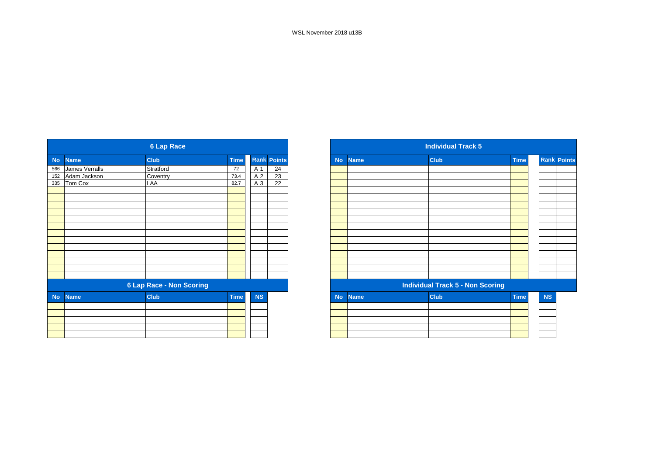|           | <b>6 Lap Race</b> |                                 |             |           |                    |  |  |
|-----------|-------------------|---------------------------------|-------------|-----------|--------------------|--|--|
| <b>No</b> | <b>Name</b>       | <b>Club</b>                     | <b>Time</b> |           | <b>Rank Points</b> |  |  |
| 566       | James Verralls    | Stratford                       | 72          | A 1       | 24                 |  |  |
| 152       | Adam Jackson      | Coventry                        | 73.4        | A 2       | $\overline{23}$    |  |  |
| 335       | Tom Cox           | LAA                             | 82.7        | A 3       | $\overline{22}$    |  |  |
|           |                   |                                 |             |           |                    |  |  |
|           |                   |                                 |             |           |                    |  |  |
|           |                   |                                 |             |           |                    |  |  |
|           |                   |                                 |             |           |                    |  |  |
|           |                   |                                 |             |           |                    |  |  |
|           |                   |                                 |             |           |                    |  |  |
|           |                   |                                 |             |           |                    |  |  |
|           |                   |                                 |             |           |                    |  |  |
|           |                   |                                 |             |           |                    |  |  |
|           |                   |                                 |             |           |                    |  |  |
|           |                   |                                 |             |           |                    |  |  |
|           |                   |                                 |             |           |                    |  |  |
|           |                   | <b>6 Lap Race - Non Scoring</b> |             |           |                    |  |  |
| <b>No</b> | <b>Name</b>       | <b>Club</b>                     | <b>Time</b> | <b>NS</b> |                    |  |  |
|           |                   |                                 |             |           |                    |  |  |
|           |                   |                                 |             |           |                    |  |  |
|           |                   |                                 |             |           |                    |  |  |
|           |                   |                                 |             |           |                    |  |  |
|           |                   |                                 |             |           |                    |  |  |

|             |                | <b>6 Lap Race</b>               |             |                 |                    |
|-------------|----------------|---------------------------------|-------------|-----------------|--------------------|
| <b>Name</b> |                | <b>Club</b>                     | <b>Time</b> |                 | <b>Rank Points</b> |
|             | James Verralls | Stratford                       | 72          | A 1             | 24                 |
|             | Adam Jackson   | Coventry                        | 73.4        | A 2             | $\overline{23}$    |
|             | Tom Cox        | LAA                             | 82.7        | $\overline{A3}$ | $\overline{22}$    |
|             |                |                                 |             |                 |                    |
|             |                |                                 |             |                 |                    |
|             |                |                                 |             |                 |                    |
|             |                |                                 |             |                 |                    |
|             |                |                                 |             |                 |                    |
|             |                |                                 |             |                 |                    |
|             |                |                                 |             |                 |                    |
|             |                |                                 |             |                 |                    |
|             |                |                                 |             |                 |                    |
|             |                |                                 |             |                 |                    |
|             |                |                                 |             |                 |                    |
|             |                |                                 |             |                 |                    |
|             |                | <b>6 Lap Race - Non Scoring</b> |             |                 |                    |
| <b>No</b>   | <b>Name</b>    | <b>Club</b>                     | <b>Time</b> | <b>NS</b>       |                    |
|             |                |                                 |             |                 |                    |
|             |                |                                 |             |                 |                    |
|             |                |                                 |             |                 |                    |
|             |                |                                 |             |                 |                    |
|             |                |                                 |             |                 |                    |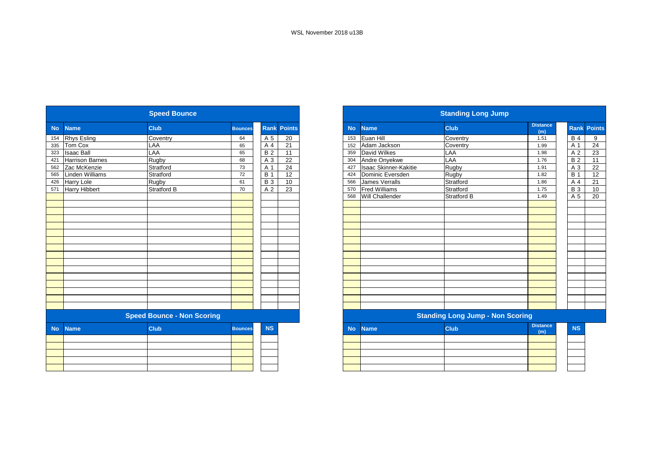| <b>Speed Bounce</b> |                   |                                   |                |                |                    |  |  |  |  |  |  |
|---------------------|-------------------|-----------------------------------|----------------|----------------|--------------------|--|--|--|--|--|--|
| <b>No</b>           | <b>Name</b>       | <b>Club</b>                       | <b>Bounces</b> |                | <b>Rank Points</b> |  |  |  |  |  |  |
| 154                 | Rhys Esling       | Coventry                          | 64             | A 5            | 20                 |  |  |  |  |  |  |
| 335                 | Tom Cox           | LAA                               | 65             | A 4            | 21                 |  |  |  |  |  |  |
| 323                 | <b>Isaac Ball</b> | LAA                               | 65             | <b>B2</b>      | 11                 |  |  |  |  |  |  |
| 421                 | Harrison Barnes   | Rugby                             | 68             | A 3            | 22                 |  |  |  |  |  |  |
| 562                 | Zac McKenzie      | Stratford                         | 73             | A 1            | 24                 |  |  |  |  |  |  |
| 565                 | Linden Williams   | Stratford                         | 72             | <b>B</b> 1     | 12                 |  |  |  |  |  |  |
| 426                 | Harry Lole        | Rugby                             | 61             | <b>B3</b>      | 10                 |  |  |  |  |  |  |
| 571                 | Harry Hibbert     | <b>Stratford B</b>                | 70             | A <sub>2</sub> | 23                 |  |  |  |  |  |  |
|                     |                   |                                   |                |                |                    |  |  |  |  |  |  |
|                     |                   |                                   |                |                |                    |  |  |  |  |  |  |
|                     |                   |                                   |                |                |                    |  |  |  |  |  |  |
|                     |                   |                                   |                |                |                    |  |  |  |  |  |  |
|                     |                   |                                   |                |                |                    |  |  |  |  |  |  |
|                     |                   |                                   |                |                |                    |  |  |  |  |  |  |
|                     |                   |                                   |                |                |                    |  |  |  |  |  |  |
|                     |                   |                                   |                |                |                    |  |  |  |  |  |  |
|                     |                   |                                   |                |                |                    |  |  |  |  |  |  |
|                     |                   |                                   |                |                |                    |  |  |  |  |  |  |
|                     |                   |                                   |                |                |                    |  |  |  |  |  |  |
|                     |                   |                                   |                |                |                    |  |  |  |  |  |  |
|                     |                   |                                   |                |                |                    |  |  |  |  |  |  |
|                     |                   |                                   |                |                |                    |  |  |  |  |  |  |
|                     |                   |                                   |                |                |                    |  |  |  |  |  |  |
|                     |                   |                                   |                |                |                    |  |  |  |  |  |  |
|                     |                   |                                   |                |                |                    |  |  |  |  |  |  |
|                     |                   | <b>Speed Bounce - Non Scoring</b> |                |                |                    |  |  |  |  |  |  |
| <b>No</b>           | <b>Name</b>       | <b>Club</b>                       | <b>Bounces</b> | <b>NS</b>      |                    |  |  |  |  |  |  |
|                     |                   |                                   |                |                |                    |  |  |  |  |  |  |
|                     |                   |                                   |                |                |                    |  |  |  |  |  |  |
|                     |                   |                                   |                |                |                    |  |  |  |  |  |  |
|                     |                   |                                   |                |                |                    |  |  |  |  |  |  |
|                     |                   |                                   |                |                |                    |  |  |  |  |  |  |
|                     |                   |                                   |                |                |                    |  |  |  |  |  |  |

| <b>Standing Long Jump</b> |                       |                                         |                        |            |                    |  |  |  |  |  |  |
|---------------------------|-----------------------|-----------------------------------------|------------------------|------------|--------------------|--|--|--|--|--|--|
| <b>No</b>                 | <b>Name</b>           | <b>Club</b>                             | <b>Distance</b><br>(m) |            | <b>Rank Points</b> |  |  |  |  |  |  |
| 153                       | Euan Hill             | Coventry                                | 1.51                   | <b>B</b> 4 | 9                  |  |  |  |  |  |  |
| 152                       | Adam Jackson          | Coventry                                | 1.99                   | A 1        | $\overline{24}$    |  |  |  |  |  |  |
| 359                       | <b>David Wilkes</b>   | LAA                                     | 1.98                   | A 2        | 23                 |  |  |  |  |  |  |
| 304                       | Andre Onyekwe         | LAA                                     | 1.76                   | <b>B2</b>  | 11                 |  |  |  |  |  |  |
| 427                       | Isaac Skinner-Kakitie | Rugby                                   | 1.91                   | A 3        | 22                 |  |  |  |  |  |  |
| 424                       | Dominic Eversden      | Rugby                                   | 1.82                   | <b>B</b> 1 | 12                 |  |  |  |  |  |  |
| 566                       | <b>James Verralls</b> | Stratford                               | 1.86                   | A 4        | 21                 |  |  |  |  |  |  |
| 570                       | <b>Fred Williams</b>  | Stratford                               | 1.75                   | <b>B</b> 3 | 10                 |  |  |  |  |  |  |
| 568                       | Will Challender       | Stratford B                             | 1.49                   | A 5        | 20                 |  |  |  |  |  |  |
|                           |                       |                                         |                        |            |                    |  |  |  |  |  |  |
|                           |                       |                                         |                        |            |                    |  |  |  |  |  |  |
|                           |                       |                                         |                        |            |                    |  |  |  |  |  |  |
|                           |                       |                                         |                        |            |                    |  |  |  |  |  |  |
|                           |                       |                                         |                        |            |                    |  |  |  |  |  |  |
|                           |                       |                                         |                        |            |                    |  |  |  |  |  |  |
|                           |                       |                                         |                        |            |                    |  |  |  |  |  |  |
|                           |                       |                                         |                        |            |                    |  |  |  |  |  |  |
|                           |                       |                                         |                        |            |                    |  |  |  |  |  |  |
|                           |                       |                                         |                        |            |                    |  |  |  |  |  |  |
|                           |                       |                                         |                        |            |                    |  |  |  |  |  |  |
|                           |                       |                                         |                        |            |                    |  |  |  |  |  |  |
|                           |                       |                                         |                        |            |                    |  |  |  |  |  |  |
|                           |                       |                                         |                        |            |                    |  |  |  |  |  |  |
|                           |                       |                                         |                        |            |                    |  |  |  |  |  |  |
|                           |                       | <b>Standing Long Jump - Non Scoring</b> |                        |            |                    |  |  |  |  |  |  |
| <b>No</b>                 | <b>Name</b>           | Club                                    | <b>Distance</b>        | <b>NS</b>  |                    |  |  |  |  |  |  |
|                           |                       |                                         | (m)                    |            |                    |  |  |  |  |  |  |
|                           |                       |                                         |                        |            |                    |  |  |  |  |  |  |
|                           |                       |                                         |                        |            |                    |  |  |  |  |  |  |
|                           |                       |                                         |                        |            |                    |  |  |  |  |  |  |
|                           |                       |                                         |                        |            |                    |  |  |  |  |  |  |
|                           |                       |                                         |                        |            |                    |  |  |  |  |  |  |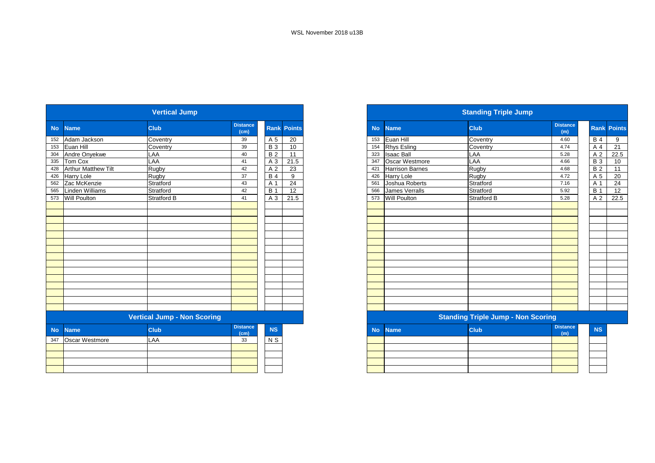|           |                            | <b>Vertical Jump</b>               |                         |            |                    |
|-----------|----------------------------|------------------------------------|-------------------------|------------|--------------------|
| <b>No</b> | <b>Name</b>                | <b>Club</b>                        | <b>Distance</b><br>(cm) |            | <b>Rank Points</b> |
| 152       | Adam Jackson               | Coventry                           | 39                      | A 5        | 20                 |
| 153       | Euan Hill                  | Coventry                           | 39                      | <b>B3</b>  | 10                 |
| 304       | Andre Onyekwe              | LAA                                | 40                      | <b>B2</b>  | 11                 |
| 335       | Tom Cox                    | LAA                                | 41                      | A 3        | 21.5               |
| 428       | <b>Arthur Matthew Tilt</b> | Rugby                              | 42                      | A 2        | 23                 |
| 426       | <b>Harry Lole</b>          | Rugby                              | 37                      | <b>B4</b>  | 9                  |
| 562       | Zac McKenzie               | Stratford                          | 43                      | A 1        | 24                 |
| 565       | <b>Linden Williams</b>     | Stratford                          | 42                      | <b>B</b> 1 | 12 <sup>2</sup>    |
| 573       | <b>Will Poulton</b>        | <b>Stratford B</b>                 | 41                      | A 3        | 21.5               |
|           |                            |                                    |                         |            |                    |
|           |                            |                                    |                         |            |                    |
|           |                            |                                    |                         |            |                    |
|           |                            |                                    |                         |            |                    |
|           |                            |                                    |                         |            |                    |
|           |                            |                                    |                         |            |                    |
|           |                            |                                    |                         |            |                    |
|           |                            |                                    |                         |            |                    |
|           |                            |                                    |                         |            |                    |
|           |                            |                                    |                         |            |                    |
|           |                            |                                    |                         |            |                    |
|           |                            | <b>Vertical Jump - Non Scoring</b> |                         |            |                    |
| <b>No</b> | <b>Name</b>                | Club                               | <b>Distance</b><br>(cm) | <b>NS</b>  |                    |
| 347       | Oscar Westmore             | LAA                                | 33                      | N S        |                    |
|           |                            |                                    |                         |            |                    |
|           |                            |                                    |                         |            |                    |
|           |                            |                                    |                         |            |                    |
|           |                            |                                    |                         |            |                    |

|           |                        | <b>Standing Triple Jump</b>               |                        |                |                    |
|-----------|------------------------|-------------------------------------------|------------------------|----------------|--------------------|
| <b>No</b> | <b>Name</b>            | <b>Club</b>                               | <b>Distance</b><br>(m) |                | <b>Rank Points</b> |
| 153       | Euan Hill              | Coventry                                  | 4.60                   | <b>B</b> 4     | 9                  |
| 154       | <b>Rhys Esling</b>     | Coventry                                  | 4.74                   | A 4            | 21                 |
| 323       | <b>Isaac Ball</b>      | LAA                                       | 5.28                   | A <sub>2</sub> | 22.5               |
| 347       | Oscar Westmore         | LAA                                       | 4.66                   | <b>B3</b>      | 10                 |
| 421       | <b>Harrison Barnes</b> | Rugby                                     | 4.68                   | <b>B2</b>      | 11                 |
| 426       | Harry Lole             | Rugby                                     | 4.72                   | A 5            | 20                 |
| 561       | Joshua Roberts         | Stratford                                 | 7.16                   | A 1            | 24                 |
| 566       | <b>James Verralls</b>  | Stratford                                 | 5.92                   | <b>B</b> 1     | 12                 |
| 573       | <b>Will Poulton</b>    | Stratford B                               | 5.28                   | A 2            | 22.5               |
|           |                        |                                           |                        |                |                    |
|           |                        |                                           |                        |                |                    |
|           |                        |                                           |                        |                |                    |
|           |                        |                                           |                        |                |                    |
|           |                        | <b>Standing Triple Jump - Non Scoring</b> |                        |                |                    |
| <b>No</b> | <b>Name</b>            | <b>Club</b>                               | <b>Distance</b><br>(m) | <b>NS</b>      |                    |
|           |                        |                                           |                        |                |                    |
|           |                        |                                           |                        |                |                    |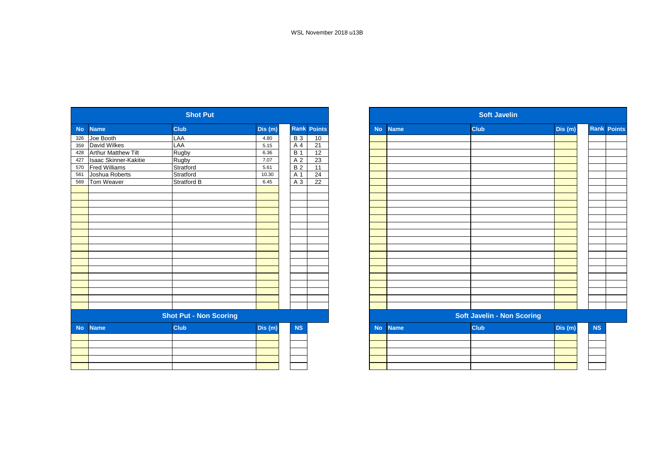| <b>Shot Put</b> |                               |                    |        |                |                    |  |  |  |  |  |  |
|-----------------|-------------------------------|--------------------|--------|----------------|--------------------|--|--|--|--|--|--|
| <b>No</b>       | <b>Name</b>                   | Club               | Dis(m) |                | <b>Rank Points</b> |  |  |  |  |  |  |
| 326             | Joe Booth                     | LAA                | 4.80   | <b>B3</b>      | 10                 |  |  |  |  |  |  |
| 359             | David Wilkes                  | LAA                | 5.15   | A <sub>4</sub> | $\overline{21}$    |  |  |  |  |  |  |
| 428             | <b>Arthur Matthew Tilt</b>    | Rugby              | 6.36   | <b>B</b> 1     | 12                 |  |  |  |  |  |  |
| 427             | <b>Isaac Skinner-Kakitie</b>  | Rugby              | 7.07   | A <sub>2</sub> | 23                 |  |  |  |  |  |  |
| 570             | <b>Fred Williams</b>          | Stratford          | 5.61   | <b>B2</b>      | $\overline{11}$    |  |  |  |  |  |  |
| 561             | Joshua Roberts                | Stratford          | 10.30  | A 1            | 24                 |  |  |  |  |  |  |
| 569             | Tom Weaver                    | <b>Stratford B</b> | 6.45   | A <sub>3</sub> | 22                 |  |  |  |  |  |  |
|                 |                               |                    |        |                |                    |  |  |  |  |  |  |
|                 |                               |                    |        |                |                    |  |  |  |  |  |  |
|                 |                               |                    |        |                |                    |  |  |  |  |  |  |
|                 |                               |                    |        |                |                    |  |  |  |  |  |  |
|                 |                               |                    |        |                |                    |  |  |  |  |  |  |
|                 |                               |                    |        |                |                    |  |  |  |  |  |  |
|                 |                               |                    |        |                |                    |  |  |  |  |  |  |
|                 |                               |                    |        |                |                    |  |  |  |  |  |  |
|                 |                               |                    |        |                |                    |  |  |  |  |  |  |
|                 |                               |                    |        |                |                    |  |  |  |  |  |  |
|                 |                               |                    |        |                |                    |  |  |  |  |  |  |
|                 |                               |                    |        |                |                    |  |  |  |  |  |  |
|                 | <b>Shot Put - Non Scoring</b> |                    |        |                |                    |  |  |  |  |  |  |
| <b>No</b>       | <b>Name</b>                   | <b>Club</b>        | Dis(m) | <b>NS</b>      |                    |  |  |  |  |  |  |
|                 |                               |                    |        |                |                    |  |  |  |  |  |  |
|                 |                               |                    |        |                |                    |  |  |  |  |  |  |
|                 |                               |                    |        |                |                    |  |  |  |  |  |  |
|                 |                               |                    |        |                |                    |  |  |  |  |  |  |

| <b>Soft Javelin</b> |             |                                   |         |           |                    |  |  |  |  |  |  |
|---------------------|-------------|-----------------------------------|---------|-----------|--------------------|--|--|--|--|--|--|
| <b>No</b>           | <b>Name</b> | <b>Club</b>                       | Dis(m)  |           | <b>Rank Points</b> |  |  |  |  |  |  |
|                     |             |                                   |         |           |                    |  |  |  |  |  |  |
|                     |             |                                   |         |           |                    |  |  |  |  |  |  |
|                     |             |                                   |         |           |                    |  |  |  |  |  |  |
|                     |             |                                   |         |           |                    |  |  |  |  |  |  |
|                     |             |                                   |         |           |                    |  |  |  |  |  |  |
|                     |             |                                   |         |           |                    |  |  |  |  |  |  |
|                     |             |                                   |         |           |                    |  |  |  |  |  |  |
|                     |             |                                   |         |           |                    |  |  |  |  |  |  |
|                     |             |                                   |         |           |                    |  |  |  |  |  |  |
|                     |             |                                   |         |           |                    |  |  |  |  |  |  |
|                     |             |                                   |         |           |                    |  |  |  |  |  |  |
|                     |             |                                   |         |           |                    |  |  |  |  |  |  |
|                     |             |                                   |         |           |                    |  |  |  |  |  |  |
|                     |             |                                   |         |           |                    |  |  |  |  |  |  |
|                     |             |                                   |         |           |                    |  |  |  |  |  |  |
|                     |             |                                   |         |           |                    |  |  |  |  |  |  |
|                     |             |                                   |         |           |                    |  |  |  |  |  |  |
|                     |             |                                   |         |           |                    |  |  |  |  |  |  |
|                     |             |                                   |         |           |                    |  |  |  |  |  |  |
|                     |             |                                   |         |           |                    |  |  |  |  |  |  |
|                     |             |                                   |         |           |                    |  |  |  |  |  |  |
|                     |             | <b>Soft Javelin - Non Scoring</b> |         |           |                    |  |  |  |  |  |  |
| <b>No</b>           | <b>Name</b> | <b>Club</b>                       | Dis (m) | <b>NS</b> |                    |  |  |  |  |  |  |
|                     |             |                                   |         |           |                    |  |  |  |  |  |  |
|                     |             |                                   |         |           |                    |  |  |  |  |  |  |
|                     |             |                                   |         |           |                    |  |  |  |  |  |  |
|                     |             |                                   |         |           |                    |  |  |  |  |  |  |
|                     |             |                                   |         |           |                    |  |  |  |  |  |  |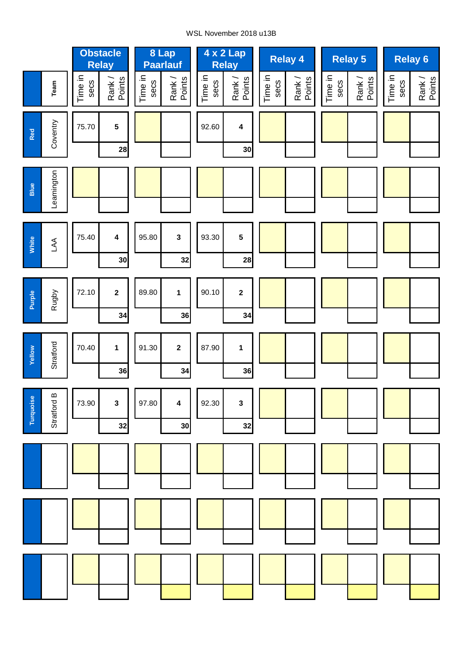#### WSL November 2018 u13B

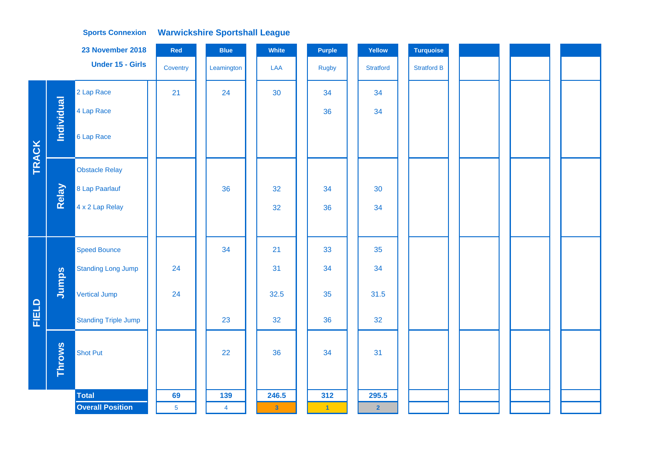|              |                   | 23 November 2018            | Red            | <b>Blue</b>    | White                   | <b>Purple</b>        | Yellow           | <b>Turquoise</b>   |  |  |  |
|--------------|-------------------|-----------------------------|----------------|----------------|-------------------------|----------------------|------------------|--------------------|--|--|--|
|              |                   | <b>Under 15 - Girls</b>     | Coventry       | Leamington     | LAA                     | <b>Rugby</b>         | <b>Stratford</b> | <b>Stratford B</b> |  |  |  |
|              |                   | 2 Lap Race                  | 21             | 24             | 30                      | 34                   | 34               |                    |  |  |  |
| TRACK        | <b>Individual</b> | 4 Lap Race                  |                |                |                         | 36                   | 34               |                    |  |  |  |
|              |                   | 6 Lap Race                  |                |                |                         |                      |                  |                    |  |  |  |
|              |                   | <b>Obstacle Relay</b>       |                |                |                         |                      |                  |                    |  |  |  |
|              | Relay             | 8 Lap Paarlauf              |                | 36             | 32                      | 34                   | 30               |                    |  |  |  |
|              |                   | 4 x 2 Lap Relay             |                |                | 32                      | 36                   | 34               |                    |  |  |  |
|              |                   |                             |                |                |                         |                      |                  |                    |  |  |  |
|              |                   | <b>Speed Bounce</b>         |                | 34             | 21                      | 33                   | 35               |                    |  |  |  |
|              |                   | <b>Standing Long Jump</b>   | 24             |                | 31                      | 34                   | 34               |                    |  |  |  |
|              | Jumps             | Vertical Jump               | 24             |                | 32.5                    | 35                   | 31.5             |                    |  |  |  |
| <b>FIELD</b> |                   | <b>Standing Triple Jump</b> |                | 23             | 32                      | 36                   | 32               |                    |  |  |  |
|              | <b>Throws</b>     | <b>Shot Put</b>             |                | 22             | 36                      | 34                   | 31               |                    |  |  |  |
|              |                   | <b>Total</b>                | 69             | 139            | 246.5                   | 312                  | 295.5            |                    |  |  |  |
|              |                   | <b>Overall Position</b>     | $\overline{5}$ | $\overline{4}$ | $\overline{\mathbf{3}}$ | $\blacktriangleleft$ | $\overline{2}$   |                    |  |  |  |
|              |                   |                             |                |                |                         |                      |                  |                    |  |  |  |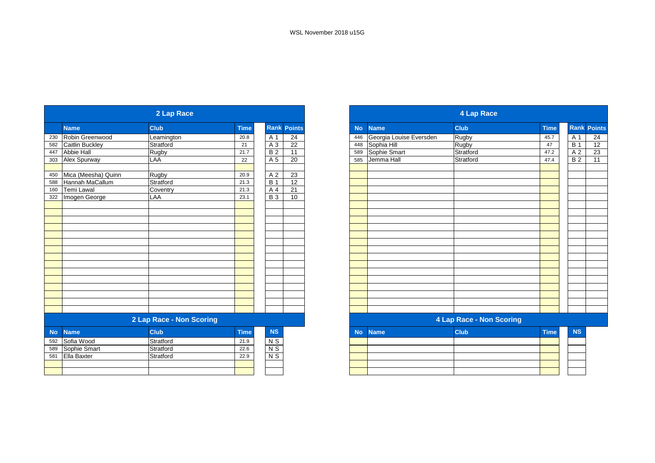|           | 2 Lap Race             |                          |             |                |                    |  |  |
|-----------|------------------------|--------------------------|-------------|----------------|--------------------|--|--|
|           | <b>Name</b>            | <b>Club</b>              | <b>Time</b> |                | <b>Rank Points</b> |  |  |
| 230       | Robin Greenwood        | Leamington               | 20.8        | A 1            | 24                 |  |  |
| 582       | <b>Caitlin Buckley</b> | Stratford                | 21          | A 3            | $\overline{22}$    |  |  |
| 447       | <b>Abbie Hall</b>      | Rugby                    | 21.7        | <b>B2</b>      | 11                 |  |  |
| 303       | Alex Spurway           | LAA                      | 22          | A 5            | 20                 |  |  |
|           |                        |                          |             |                |                    |  |  |
| 450       | Mica (Meesha) Quinn    | Rugby                    | 20.9        | A 2            | 23                 |  |  |
| 588       | <b>Hannah MaCallum</b> | Stratford                | 21.3        | <b>B</b> 1     | 12                 |  |  |
| 160       | <b>Temi Lawal</b>      | Coventry                 | 21.3        | A 4            | 21                 |  |  |
| 322       | Imogen George          | LAA                      | 23.1        | <b>B</b> 3     | 10                 |  |  |
|           |                        |                          |             |                |                    |  |  |
|           |                        |                          |             |                |                    |  |  |
|           |                        |                          |             |                |                    |  |  |
|           |                        |                          |             |                |                    |  |  |
|           |                        |                          |             |                |                    |  |  |
|           |                        |                          |             |                |                    |  |  |
|           |                        |                          |             |                |                    |  |  |
|           |                        |                          |             |                |                    |  |  |
|           |                        |                          |             |                |                    |  |  |
|           |                        |                          |             |                |                    |  |  |
|           |                        |                          |             |                |                    |  |  |
|           |                        |                          |             |                |                    |  |  |
|           |                        |                          |             |                |                    |  |  |
|           |                        |                          |             |                |                    |  |  |
|           |                        |                          |             |                |                    |  |  |
|           |                        | 2 Lap Race - Non Scoring |             |                |                    |  |  |
| <b>No</b> | <b>Name</b>            | <b>Club</b>              | <b>Time</b> | <b>NS</b>      |                    |  |  |
| 592       | Sofia Wood             | Stratford                | 21.9        | N S            |                    |  |  |
| 589       | Sophie Smart           | Stratford                | 22.6        | N <sub>S</sub> |                    |  |  |
| 581       | Ella Baxter            | Stratford                | 22.9        | N <sub>S</sub> |                    |  |  |
|           |                        |                          |             |                |                    |  |  |
|           |                        |                          |             |                |                    |  |  |
|           |                        |                          |             |                |                    |  |  |

|           |                         | <b>4 Lap Race</b>        |             |                  |                    |
|-----------|-------------------------|--------------------------|-------------|------------------|--------------------|
| <b>No</b> | <b>Name</b>             | <b>Club</b>              | <b>Time</b> |                  | <b>Rank Points</b> |
| 446       | Georgia Louise Eversden | Rugby                    | 45.7        | A 1              | 24                 |
| 448       | Sophia Hill             | Rugby                    | 47          | $\overline{B}$ 1 | $\overline{12}$    |
| 589       | Sophie Smart            | Stratford                | 47.2        | A 2              | $\overline{23}$    |
| 585       | Jemma Hall              | Stratford                | 47.4        | <b>B2</b>        | 11                 |
|           |                         |                          |             |                  |                    |
|           |                         |                          |             |                  |                    |
|           |                         |                          |             |                  |                    |
|           |                         |                          |             |                  |                    |
|           |                         |                          |             |                  |                    |
|           |                         |                          |             |                  |                    |
|           |                         |                          |             |                  |                    |
|           |                         |                          |             |                  |                    |
|           |                         |                          |             |                  |                    |
|           |                         |                          |             |                  |                    |
|           |                         |                          |             |                  |                    |
|           |                         |                          |             |                  |                    |
|           |                         |                          |             |                  |                    |
|           |                         |                          |             |                  |                    |
|           |                         |                          |             |                  |                    |
|           |                         |                          |             |                  |                    |
|           |                         |                          |             |                  |                    |
|           |                         |                          |             |                  |                    |
|           |                         |                          |             |                  |                    |
|           |                         |                          |             |                  |                    |
|           |                         | 4 Lap Race - Non Scoring |             |                  |                    |
| <b>No</b> | <b>Name</b>             | Club                     | Time        | <b>NS</b>        |                    |
|           |                         |                          |             |                  |                    |
|           |                         |                          |             |                  |                    |
|           |                         |                          |             |                  |                    |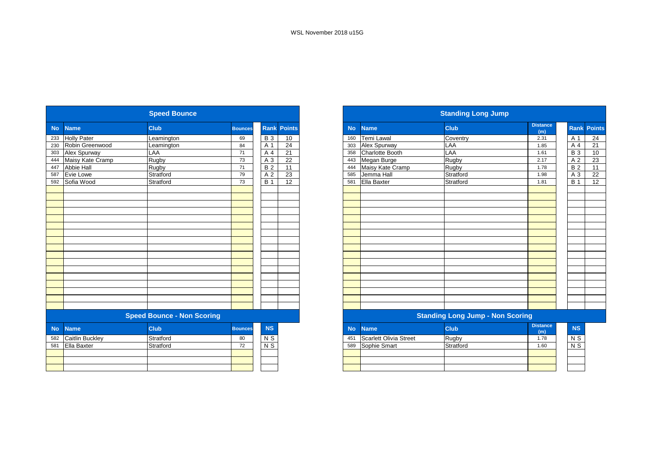|           |                        | <b>Speed Bounce</b>               |                |                |                    |
|-----------|------------------------|-----------------------------------|----------------|----------------|--------------------|
| <b>No</b> | <b>Name</b>            | <b>Club</b>                       | <b>Bounces</b> |                | <b>Rank Points</b> |
| 233       | <b>Holly Pater</b>     | Leamington                        | 69             | <b>B3</b>      | 10                 |
| 230       | Robin Greenwood        | Leamington                        | 84             | A 1            | 24                 |
| 303       | Alex Spurway           | LAA                               | 71             | A 4            | 21                 |
| 444       | Maisy Kate Cramp       | Rugby                             | 73             | A 3            | 22                 |
| 447       | Abbie Hall             | Rugby                             | 71             | <b>B2</b>      | 11                 |
| 587       | Evie Lowe              | Stratford                         | 79             | A <sub>2</sub> | 23                 |
| 592       | Sofia Wood             | Stratford                         | 73             | <b>B</b> 1     | 12                 |
|           |                        |                                   |                |                |                    |
|           |                        |                                   |                |                |                    |
|           |                        |                                   |                |                |                    |
|           |                        |                                   |                |                |                    |
|           |                        |                                   |                |                |                    |
|           |                        |                                   |                |                |                    |
|           |                        |                                   |                |                |                    |
|           |                        |                                   |                |                |                    |
|           |                        |                                   |                |                |                    |
|           |                        |                                   |                |                |                    |
|           |                        |                                   |                |                |                    |
|           |                        |                                   |                |                |                    |
|           |                        |                                   |                |                |                    |
|           |                        |                                   |                |                |                    |
|           |                        |                                   |                |                |                    |
|           |                        |                                   |                |                |                    |
|           |                        | <b>Speed Bounce - Non Scoring</b> |                |                |                    |
|           |                        |                                   |                | <b>NS</b>      |                    |
| <b>No</b> | <b>Name</b>            | <b>Club</b>                       | <b>Bounces</b> |                |                    |
| 582       | <b>Caitlin Buckley</b> | Stratford                         | 80             | N S            |                    |
| 581       | Ella Baxter            | Stratford                         | 72             | $\overline{N}$ |                    |
|           |                        |                                   |                |                |                    |
|           |                        |                                   |                |                |                    |
|           |                        |                                   |                |                |                    |

|           |                               | <b>Standing Long Jump</b>               |                        |                  |                    |
|-----------|-------------------------------|-----------------------------------------|------------------------|------------------|--------------------|
| <b>No</b> | <b>Name</b>                   | <b>Club</b>                             | <b>Distance</b><br>(m) |                  | <b>Rank Points</b> |
| 160       | Temi Lawal                    | Coventry                                | 2.31                   | A 1              | 24                 |
| 303       | Alex Spurway                  | LAA                                     | 1.85                   | A 4              | 21                 |
| 358       | Charlotte Booth               | LAA                                     | 1.61                   | <b>B3</b>        | 10                 |
| 443       | Megan Burge                   | Rugby                                   | 2.17                   | A <sub>2</sub>   | 23                 |
| 444       | Maisy Kate Cramp              | Rugby                                   | 1.78                   | <b>B2</b>        | 11                 |
| 585       | Jemma Hall                    | Stratford                               | 1.98                   | A 3              | 22                 |
| 581       | Ella Baxter                   | Stratford                               | 1.81                   | <b>B</b> 1       | 12                 |
|           |                               |                                         |                        |                  |                    |
|           |                               |                                         |                        |                  |                    |
|           |                               |                                         |                        |                  |                    |
|           |                               |                                         |                        |                  |                    |
|           |                               |                                         |                        |                  |                    |
|           |                               |                                         |                        |                  |                    |
|           |                               |                                         |                        |                  |                    |
|           |                               |                                         |                        |                  |                    |
|           |                               |                                         |                        |                  |                    |
|           |                               |                                         |                        |                  |                    |
|           |                               |                                         |                        |                  |                    |
|           |                               |                                         |                        |                  |                    |
|           |                               |                                         |                        |                  |                    |
|           |                               |                                         |                        |                  |                    |
|           |                               |                                         |                        |                  |                    |
|           |                               |                                         |                        |                  |                    |
|           |                               |                                         |                        |                  |                    |
|           |                               | <b>Standing Long Jump - Non Scoring</b> |                        |                  |                    |
| <b>No</b> | <b>Name</b>                   | <b>Club</b>                             | <b>Distance</b><br>(m) | <b>NS</b>        |                    |
| 451       | <b>Scarlett Olivia Street</b> | Rugby                                   | 1.78                   | N S              |                    |
| 589       | Sophie Smart                  | Stratford                               | 1.60                   | $\overline{N}$ S |                    |
|           |                               |                                         |                        |                  |                    |
|           |                               |                                         |                        |                  |                    |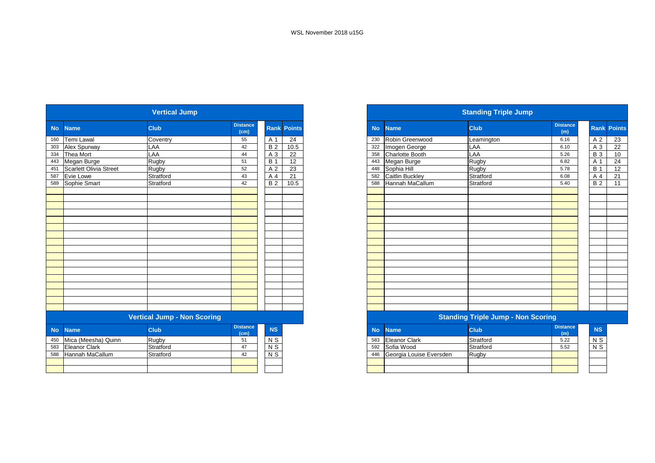|           |                               | <b>Vertical Jump</b>               |                         |                           |                    |
|-----------|-------------------------------|------------------------------------|-------------------------|---------------------------|--------------------|
| <b>No</b> | <b>Name</b>                   | <b>Club</b>                        | <b>Distance</b><br>(cm) |                           | <b>Rank Points</b> |
| 160       | <b>Temi Lawal</b>             | Coventry                           | 55                      | A 1                       | 24                 |
| 303       | Alex Spurway                  | LAA                                | 42                      | <b>B2</b>                 | 10.5               |
| 334       | Thea Mort                     | LAA                                | 44                      | A 3                       | 22                 |
| 443       | Megan Burge                   | Rugby                              | 51                      | <b>B</b> 1                | 12                 |
| 451       | <b>Scarlett Olivia Street</b> | Rugby                              | 52                      | A 2                       | 23                 |
| 587       | Evie Lowe                     | Stratford                          | 43                      | A 4                       | 21                 |
| 589       | Sophie Smart                  | Stratford                          | 42                      | <b>B2</b>                 | 10.5               |
|           |                               |                                    |                         |                           |                    |
|           |                               |                                    |                         |                           |                    |
|           |                               |                                    |                         |                           |                    |
|           |                               |                                    |                         |                           |                    |
|           |                               |                                    |                         |                           |                    |
|           |                               |                                    |                         |                           |                    |
|           |                               |                                    |                         |                           |                    |
|           |                               |                                    |                         |                           |                    |
|           |                               |                                    |                         |                           |                    |
|           |                               |                                    |                         |                           |                    |
|           |                               |                                    |                         |                           |                    |
|           |                               |                                    |                         |                           |                    |
|           |                               |                                    |                         |                           |                    |
|           |                               |                                    |                         |                           |                    |
|           |                               |                                    |                         |                           |                    |
|           |                               |                                    |                         |                           |                    |
|           |                               |                                    |                         |                           |                    |
|           |                               | <b>Vertical Jump - Non Scoring</b> |                         |                           |                    |
| No        | <b>Name</b>                   | <b>Club</b>                        | <b>Distance</b><br>(cm) | <b>NS</b>                 |                    |
| 450       | Mica (Meesha) Quinn           | Rugby                              | 51                      | N S                       |                    |
| 583       | <b>Eleanor Clark</b>          | Stratford                          | 47                      | $\overline{\mathsf{N}}$ S |                    |
| 588       | Hannah MaCallum               | Stratford                          | 42                      | $N$ S                     |                    |
|           |                               |                                    |                         |                           |                    |
|           |                               |                                    |                         |                           |                    |
|           |                               |                                    |                         |                           |                    |

|           |                 | <b>Standing Triple Jump</b>        |                        |            |                    |
|-----------|-----------------|------------------------------------|------------------------|------------|--------------------|
| <b>No</b> | <b>Name</b>     | <b>Club</b>                        | <b>Distance</b><br>(m) |            | <b>Rank Points</b> |
| 230       | Robin Greenwood | Leamington                         | 6.16                   | A 2        | 23                 |
| 322       | Imogen George   | LAA                                | 6.10                   | A 3        | 22                 |
| 358       | Charlotte Booth | LAA                                | 5.26                   | <b>B</b> 3 | 10                 |
| 443       | Megan Burge     | Rugby                              | 6.82                   | A 1        | 24                 |
| 448       | Sophia Hill     | Rugby                              | 5.78                   | <b>B</b> 1 | 12                 |
| 582       | Caitlin Buckley | Stratford                          | 6.08                   | A 4        | 21                 |
| 588       | Hannah MaCallum | Stratford                          | 5.40                   | <b>B2</b>  | 11                 |
|           |                 |                                    |                        |            |                    |
|           |                 |                                    |                        |            |                    |
|           |                 |                                    |                        |            |                    |
|           |                 |                                    |                        |            |                    |
|           |                 |                                    |                        |            |                    |
|           |                 |                                    |                        |            |                    |
|           |                 |                                    |                        |            |                    |
|           |                 |                                    |                        |            |                    |
|           |                 |                                    |                        |            |                    |
|           |                 |                                    |                        |            |                    |
|           |                 |                                    |                        |            |                    |
|           |                 |                                    |                        |            |                    |
|           |                 |                                    |                        |            |                    |
|           |                 |                                    |                        |            |                    |
|           |                 |                                    |                        |            |                    |
|           |                 |                                    |                        |            |                    |
|           |                 |                                    |                        |            |                    |
|           |                 | Standing Trinlo Jumn - Non Scoring |                        |            |                    |

#### itanding Triple Jump - Non Scoring

|     | No Name                 | <b>Club</b> | <b>Distance</b><br>(m) | <b>NS</b>      |
|-----|-------------------------|-------------|------------------------|----------------|
| 583 | <b>Eleanor Clark</b>    | Stratford   | 5.22                   | N <sub>S</sub> |
| 592 | Sofia Wood              | Stratford   | 5.52                   | $N$ S          |
| 446 | Georgia Louise Eversden | Rugby       |                        |                |
|     |                         |             |                        |                |
|     |                         |             |                        |                |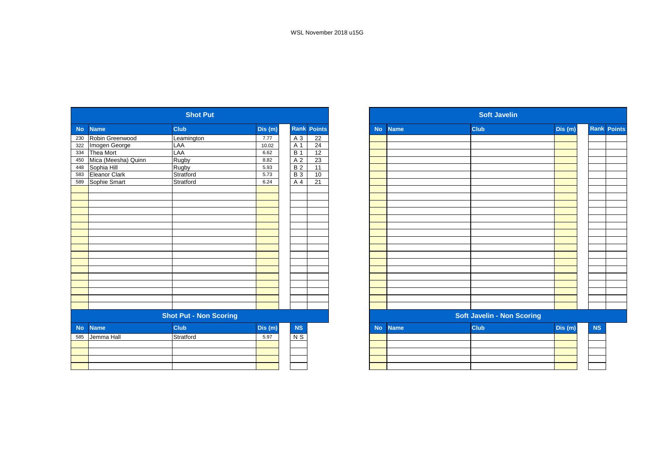| <b>Name</b><br>Dis(m)<br><b>Club</b><br><b>No</b><br>Robin Greenwood<br>7.77<br>A 3<br>Leamington<br>230 | <b>Rank Points</b><br>22<br>24 |
|----------------------------------------------------------------------------------------------------------|--------------------------------|
|                                                                                                          |                                |
|                                                                                                          |                                |
| Imogen George<br>LAA<br>A 1<br>322<br>10.02                                                              |                                |
| <b>Thea Mort</b><br>LAA<br><b>B</b> 1<br>334<br>6.62                                                     | 12                             |
| Mica (Meesha) Quinn<br>Rugby<br>A 2<br>450<br>8.82                                                       | 23                             |
| Sophia Hill<br>Rugby<br><b>B2</b><br>5.93<br>448                                                         | 11                             |
| Eleanor Clark<br>Stratford<br><b>B3</b><br>5.73<br>583                                                   | 10                             |
| Sophie Smart<br>A 4<br>Stratford<br>589<br>6.24                                                          | 21                             |
|                                                                                                          |                                |
|                                                                                                          |                                |
|                                                                                                          |                                |
|                                                                                                          |                                |
|                                                                                                          |                                |
|                                                                                                          |                                |
|                                                                                                          |                                |
|                                                                                                          |                                |
|                                                                                                          |                                |
|                                                                                                          |                                |
|                                                                                                          |                                |
|                                                                                                          |                                |
|                                                                                                          |                                |
|                                                                                                          |                                |
|                                                                                                          |                                |
|                                                                                                          |                                |
|                                                                                                          |                                |
| <b>Shot Put - Non Scoring</b>                                                                            |                                |
| <b>Name</b><br><b>Club</b><br>Dis (m)<br><b>NS</b><br><b>No</b>                                          |                                |
| Stratford<br>Jemma Hall<br>5.97<br>N S<br>585                                                            |                                |
|                                                                                                          |                                |
|                                                                                                          |                                |
|                                                                                                          |                                |
|                                                                                                          |                                |

|           |             | <b>Soft Javelin</b>        |        |           |                    |
|-----------|-------------|----------------------------|--------|-----------|--------------------|
| <b>No</b> | <b>Name</b> | <b>Club</b>                | Dis(m) |           | <b>Rank Points</b> |
|           |             |                            |        |           |                    |
|           |             |                            |        |           |                    |
|           |             |                            |        |           |                    |
|           |             |                            |        |           |                    |
|           |             |                            |        |           |                    |
|           |             |                            |        |           |                    |
|           |             |                            |        |           |                    |
|           |             |                            |        |           |                    |
|           |             |                            |        |           |                    |
|           |             |                            |        |           |                    |
|           |             |                            |        |           |                    |
|           |             |                            |        |           |                    |
|           |             |                            |        |           |                    |
|           |             |                            |        |           |                    |
|           |             |                            |        |           |                    |
|           |             |                            |        |           |                    |
|           |             |                            |        |           |                    |
|           |             |                            |        |           |                    |
|           |             |                            |        |           |                    |
|           |             |                            |        |           |                    |
|           |             |                            |        |           |                    |
|           |             | Soft Javelin - Non Scoring |        |           |                    |
| <b>No</b> | <b>Name</b> | <b>Club</b>                | Dis(m) | <b>NS</b> |                    |
|           |             |                            |        |           |                    |
|           |             |                            |        |           |                    |
|           |             |                            |        |           |                    |
|           |             |                            |        |           |                    |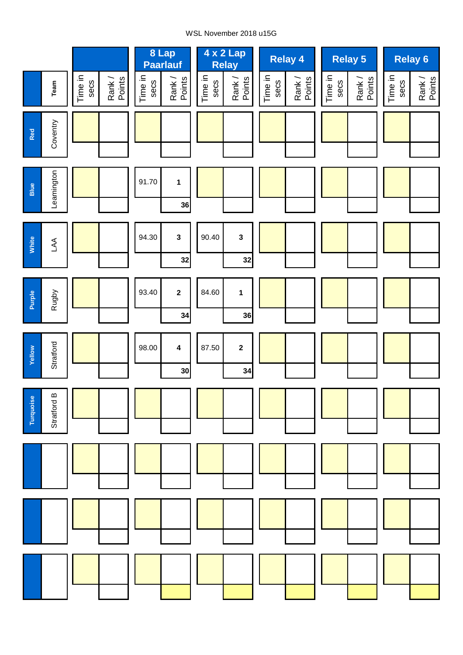#### WSL November 2018 u15G

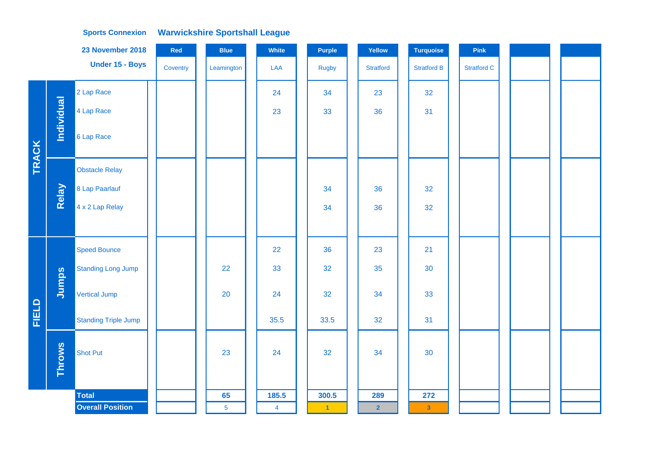|              |                   | 23 November 2018            | Red      | <b>Blue</b>    | White          | Purple               | Yellow                  | <b>Turquoise</b>        | Pink               |  |
|--------------|-------------------|-----------------------------|----------|----------------|----------------|----------------------|-------------------------|-------------------------|--------------------|--|
|              |                   | Under 15 - Boys             | Coventry | Leamington     | LAA            | <b>Rugby</b>         | <b>Stratford</b>        | <b>Stratford B</b>      | <b>Stratford C</b> |  |
|              |                   | 2 Lap Race                  |          |                | 24             | 34                   | 23                      | 32                      |                    |  |
|              | <b>Individual</b> | 4 Lap Race                  |          |                | 23             | 33                   | 36                      | 31                      |                    |  |
| TRACK        |                   | 6 Lap Race                  |          |                |                |                      |                         |                         |                    |  |
|              |                   | <b>Obstacle Relay</b>       |          |                |                |                      |                         |                         |                    |  |
|              | Relay             | 8 Lap Paarlauf              |          |                |                | 34                   | 36                      | 32                      |                    |  |
|              |                   | 4 x 2 Lap Relay             |          |                |                | 34                   | 36                      | 32                      |                    |  |
|              |                   |                             |          |                |                |                      |                         |                         |                    |  |
|              |                   | <b>Speed Bounce</b>         |          |                | 22             | 36                   | 23                      | 21                      |                    |  |
|              |                   | <b>Standing Long Jump</b>   |          | 22             | 33             | 32                   | 35                      | 30                      |                    |  |
|              | Jumps             | Vertical Jump               |          | 20             | 24             | 32                   | 34                      | 33                      |                    |  |
| <b>FIELD</b> |                   | <b>Standing Triple Jump</b> |          |                | 35.5           | 33.5                 | 32                      | 31                      |                    |  |
|              | <b>Throws</b>     | <b>Shot Put</b>             |          | 23             | 24             | 32                   | 34                      | 30                      |                    |  |
|              |                   | <b>Total</b>                |          | 65             | 185.5          | 300.5                | 289                     | 272                     |                    |  |
|              |                   | <b>Overall Position</b>     |          | $\overline{5}$ | $\overline{4}$ | $\blacktriangleleft$ | $\overline{\mathbf{2}}$ | $\overline{\mathbf{3}}$ |                    |  |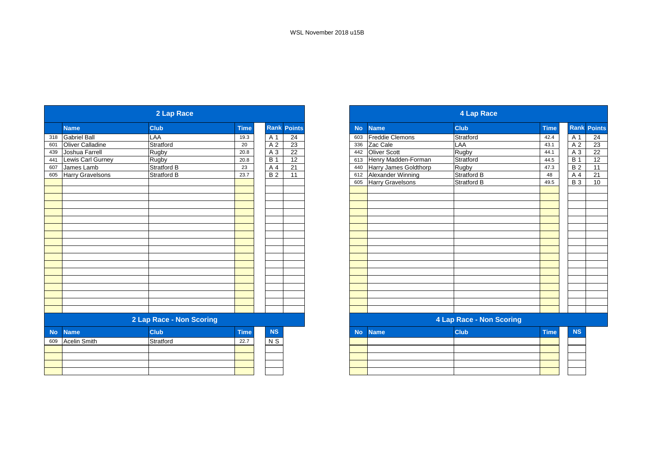|           | 2 Lap Race              |                          |             |                 |                    |  |
|-----------|-------------------------|--------------------------|-------------|-----------------|--------------------|--|
|           | <b>Name</b>             | <b>Club</b>              | <b>Time</b> |                 | <b>Rank Points</b> |  |
| 318       | <b>Gabriel Ball</b>     | LAA                      | 19.3        | A 1             | 24                 |  |
| 601       | <b>Oliver Calladine</b> | Stratford                | 20          | $\overline{A2}$ | 23                 |  |
| 439       | Joshua Farrell          | Rugby                    | 20.8        | $A_3$           | 22                 |  |
| 441       | Lewis Carl Gurney       | Rugby                    | 20.8        | <b>B</b> 1      | $\overline{12}$    |  |
| 607       | James Lamb              | <b>Stratford B</b>       | 23          | A 4             | $\overline{21}$    |  |
| 605       | Harry Gravelsons        | <b>Stratford B</b>       | 23.7        | <b>B2</b>       | 11                 |  |
|           |                         |                          |             |                 |                    |  |
|           |                         |                          |             |                 |                    |  |
|           |                         |                          |             |                 |                    |  |
|           |                         |                          |             |                 |                    |  |
|           |                         |                          |             |                 |                    |  |
|           |                         |                          |             |                 |                    |  |
|           |                         |                          |             |                 |                    |  |
|           |                         |                          |             |                 |                    |  |
|           |                         |                          |             |                 |                    |  |
|           |                         |                          |             |                 |                    |  |
|           |                         |                          |             |                 |                    |  |
|           |                         |                          |             |                 |                    |  |
|           |                         |                          |             |                 |                    |  |
|           |                         |                          |             |                 |                    |  |
|           |                         |                          |             |                 |                    |  |
|           |                         |                          |             |                 |                    |  |
|           |                         |                          |             |                 |                    |  |
|           |                         |                          |             |                 |                    |  |
|           |                         | 2 Lap Race - Non Scoring |             |                 |                    |  |
| <b>No</b> | <b>Name</b>             | <b>Club</b>              | Time        | <b>NS</b>       |                    |  |
| 609       | <b>Acelin Smith</b>     | Stratford                | 22.7        | N S             |                    |  |
|           |                         |                          |             |                 |                    |  |
|           |                         |                          |             |                 |                    |  |
|           |                         |                          |             |                 |                    |  |
|           |                         |                          |             |                 |                    |  |
|           |                         |                          |             |                 |                    |  |

|           | <b>4 Lap Race</b>      |                          |             |                |                    |  |  |
|-----------|------------------------|--------------------------|-------------|----------------|--------------------|--|--|
| <b>No</b> | <b>Name</b>            | <b>Club</b>              | <b>Time</b> |                | <b>Rank Points</b> |  |  |
| 603       | <b>Freddie Clemons</b> | Stratford                | 42.4        | A 1            | 24                 |  |  |
| 336       | Zac Cale               | LAA                      | 43.1        | A 2            | 23                 |  |  |
| 442       | Oliver Scott           | Rugby                    | 44.1        | A <sub>3</sub> | 22                 |  |  |
| 613       | Henry Madden-Forman    | Stratford                | 44.5        | <b>B</b> 1     | 12                 |  |  |
| 440       | Harry James Goldthorp  | Rugby                    | 47.3        | <b>B2</b>      | 11                 |  |  |
| 612       | Alexander Winning      | <b>Stratford B</b>       | 48          | A 4            | 21                 |  |  |
| 605       | Harry Gravelsons       | <b>Stratford B</b>       | 49.5        | <b>B</b> 3     | 10                 |  |  |
|           |                        |                          |             |                |                    |  |  |
|           |                        |                          |             |                |                    |  |  |
|           |                        |                          |             |                |                    |  |  |
|           |                        |                          |             |                |                    |  |  |
|           |                        |                          |             |                |                    |  |  |
|           |                        |                          |             |                |                    |  |  |
|           |                        |                          |             |                |                    |  |  |
|           |                        |                          |             |                |                    |  |  |
|           |                        |                          |             |                |                    |  |  |
|           |                        |                          |             |                |                    |  |  |
|           |                        |                          |             |                |                    |  |  |
|           |                        |                          |             |                |                    |  |  |
|           |                        |                          |             |                |                    |  |  |
|           |                        |                          |             |                |                    |  |  |
|           |                        |                          |             |                |                    |  |  |
|           |                        |                          |             |                |                    |  |  |
|           |                        |                          |             |                |                    |  |  |
|           |                        | 4 Lap Race - Non Scoring |             |                |                    |  |  |
| <b>No</b> | <b>Name</b>            | <b>Club</b>              | <b>Time</b> | <b>NS</b>      |                    |  |  |
|           |                        |                          |             |                |                    |  |  |
|           |                        |                          |             |                |                    |  |  |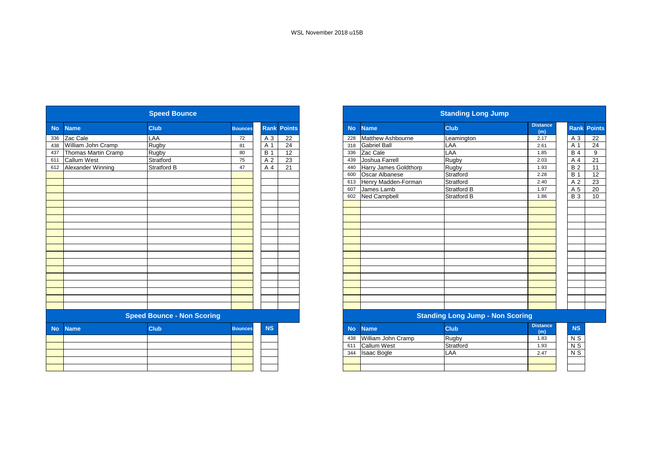|           |                     | <b>Speed Bounce</b>               |                |                |                    |
|-----------|---------------------|-----------------------------------|----------------|----------------|--------------------|
| <b>No</b> | <b>Name</b>         | Club                              | <b>Bounces</b> |                | <b>Rank Points</b> |
| 336       | Zac Cale            | LAA                               | 72             | A 3            | 22                 |
| 438       | William John Cramp  | Rugby                             | 81             | A 1            | 24                 |
| 437       | Thomas Martin Cramp | Rugby                             | 80             | <b>B</b> 1     | 12                 |
| 611       | Callum West         | Stratford                         | 75             | A <sub>2</sub> | 23                 |
| 612       | Alexander Winning   | Stratford B                       | 47             | A 4            | 21                 |
|           |                     |                                   |                |                |                    |
|           |                     |                                   |                |                |                    |
|           |                     |                                   |                |                |                    |
|           |                     |                                   |                |                |                    |
|           |                     |                                   |                |                |                    |
|           |                     |                                   |                |                |                    |
|           |                     |                                   |                |                |                    |
|           |                     |                                   |                |                |                    |
|           |                     |                                   |                |                |                    |
|           |                     |                                   |                |                |                    |
|           |                     |                                   |                |                |                    |
|           |                     |                                   |                |                |                    |
|           |                     |                                   |                |                |                    |
|           |                     |                                   |                |                |                    |
|           |                     |                                   |                |                |                    |
|           |                     |                                   |                |                |                    |
|           |                     |                                   |                |                |                    |
|           |                     |                                   |                |                |                    |
|           |                     |                                   |                |                |                    |
|           |                     | <b>Speed Bounce - Non Scoring</b> |                |                |                    |
| <b>No</b> | <b>Name</b>         | <b>Club</b>                       | <b>Bounces</b> | <b>NS</b>      |                    |
|           |                     |                                   |                |                |                    |
|           |                     |                                   |                |                |                    |
|           |                     |                                   |                |                |                    |
|           |                     |                                   |                |                |                    |
|           |                     |                                   |                |                |                    |
|           |                     |                                   |                |                |                    |

| <b>Standing Long Jump</b>               |                       |                    |                        |  |                           |                    |
|-----------------------------------------|-----------------------|--------------------|------------------------|--|---------------------------|--------------------|
| <b>No</b>                               | <b>Name</b>           | Club               | <b>Distance</b><br>(m) |  |                           | <b>Rank Points</b> |
| 228                                     | Matthew Ashbourne     | Leamington         | 2.17                   |  | A 3                       | 22                 |
| 318                                     | <b>Gabriel Ball</b>   | LAA                | 2.61                   |  | A 1                       | 24                 |
| 336                                     | Zac Cale              | LAA                | 1.85                   |  | <b>B</b> 4                | 9                  |
| 439                                     | Joshua Farrell        | Rugby              | 2.03                   |  | A <sub>4</sub>            | 21                 |
| 440                                     | Harry James Goldthorp | Rugby              | 1.93                   |  | <b>B2</b>                 | 11                 |
| 600                                     | Oscar Albanese        | Stratford          | 2.28                   |  | <b>B</b> 1                | 12                 |
| 613                                     | Henry Madden-Forman   | Stratford          | 2.40                   |  | A <sub>2</sub>            | 23                 |
| 607                                     | James Lamb            | <b>Stratford B</b> | 1.97                   |  | A 5                       | 20                 |
| 602                                     | <b>Ned Campbell</b>   | <b>Stratford B</b> | 1.86                   |  | <b>B3</b>                 | 10                 |
|                                         |                       |                    |                        |  |                           |                    |
|                                         |                       |                    |                        |  |                           |                    |
|                                         |                       |                    |                        |  |                           |                    |
|                                         |                       |                    |                        |  |                           |                    |
|                                         |                       |                    |                        |  |                           |                    |
|                                         |                       |                    |                        |  |                           |                    |
|                                         |                       |                    |                        |  |                           |                    |
|                                         |                       |                    |                        |  |                           |                    |
|                                         |                       |                    |                        |  |                           |                    |
|                                         |                       |                    |                        |  |                           |                    |
|                                         |                       |                    |                        |  |                           |                    |
|                                         |                       |                    |                        |  |                           |                    |
|                                         |                       |                    |                        |  |                           |                    |
|                                         |                       |                    |                        |  |                           |                    |
|                                         |                       |                    |                        |  |                           |                    |
| <b>Standing Long Jump - Non Scoring</b> |                       |                    |                        |  |                           |                    |
| <b>No</b>                               | <b>Name</b>           | Club               | <b>Distance</b><br>(m) |  | <b>NS</b>                 |                    |
| 438                                     | William John Cramp    | Rugby              | 1.83                   |  | N S                       |                    |
| 611                                     | Callum West           | Stratford          | 1.93                   |  | N <sub>S</sub>            |                    |
| 344                                     | <b>Isaac Bogle</b>    | LAA                | 2.47                   |  | $\overline{\mathsf{N}}$ S |                    |
|                                         |                       |                    |                        |  |                           |                    |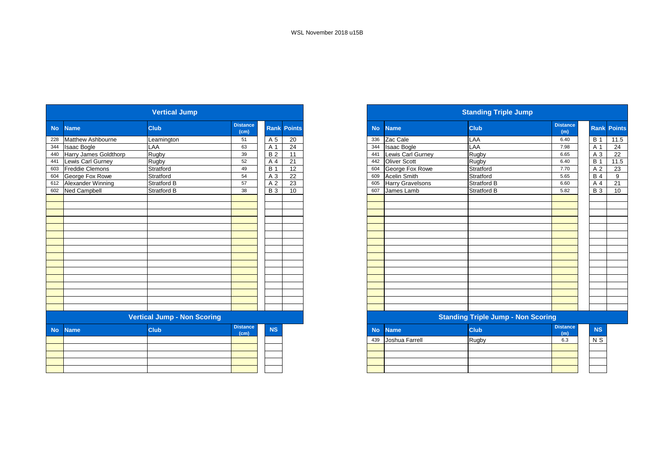|           |                        | <b>Vertical Jump</b>               |                         |                |                    |
|-----------|------------------------|------------------------------------|-------------------------|----------------|--------------------|
| <b>No</b> | <b>Name</b>            | <b>Club</b>                        | <b>Distance</b><br>(cm) |                | <b>Rank Points</b> |
| 228       | Matthew Ashbourne      | Leamington                         | 51                      | A 5            | 20                 |
| 344       | <b>Isaac Bogle</b>     | LAA                                | 63                      | A 1            | 24                 |
| 440       | Harry James Goldthorp  | Rugby                              | 39                      | <b>B2</b>      | 11                 |
| 441       | Lewis Carl Gurney      | Rugby                              | 52                      | A 4            | 21                 |
| 603       | <b>Freddie Clemons</b> | Stratford                          | 49                      | <b>B</b> 1     | 12                 |
| 604       | George Fox Rowe        | Stratford                          | 54                      | A 3            | 22                 |
| 612       | Alexander Winning      | Stratford B                        | 57                      | A <sub>2</sub> | 23                 |
| 602       | Ned Campbell           | Stratford B                        | 38                      | <b>B3</b>      | 10                 |
|           |                        |                                    |                         |                |                    |
|           |                        |                                    |                         |                |                    |
|           |                        |                                    |                         |                |                    |
|           |                        |                                    |                         |                |                    |
|           |                        |                                    |                         |                |                    |
|           |                        |                                    |                         |                |                    |
|           |                        |                                    |                         |                |                    |
|           |                        |                                    |                         |                |                    |
|           |                        |                                    |                         |                |                    |
|           |                        |                                    |                         |                |                    |
|           |                        |                                    |                         |                |                    |
|           |                        |                                    |                         |                |                    |
|           |                        |                                    |                         |                |                    |
|           |                        |                                    |                         |                |                    |
|           |                        |                                    |                         |                |                    |
|           |                        | <b>Vertical Jump - Non Scoring</b> |                         |                |                    |
| <b>No</b> | <b>Name</b>            | Club                               | <b>Distance</b><br>(cm) | <b>NS</b>      |                    |
|           |                        |                                    |                         |                |                    |
|           |                        |                                    |                         |                |                    |
|           |                        |                                    |                         |                |                    |
|           |                        |                                    |                         |                |                    |
|           |                        |                                    |                         |                |                    |

| <b>Standing Triple Jump</b>               |                         |                    |                        |                |                    |  |  |
|-------------------------------------------|-------------------------|--------------------|------------------------|----------------|--------------------|--|--|
| <b>No</b>                                 | <b>Name</b>             | <b>Club</b>        | <b>Distance</b><br>(m) |                | <b>Rank Points</b> |  |  |
| 336                                       | Zac Cale                | LAA                | 6.40                   | <b>B</b> 1     | 11.5               |  |  |
| 344                                       | <b>Isaac Bogle</b>      | LAA                | 7.98                   | A 1            | 24                 |  |  |
| 441                                       | Lewis Carl Gurney       | Rugby              | 6.65                   | A 3            | 22                 |  |  |
| 442                                       | <b>Oliver Scott</b>     | Rugby              | 6.40                   | <b>B</b> 1     | 11.5               |  |  |
| 604                                       | George Fox Rowe         | Stratford          | 7.70                   | A <sub>2</sub> | 23                 |  |  |
| 609                                       | <b>Acelin Smith</b>     | Stratford          | 5.65                   | <b>B4</b>      | 9                  |  |  |
| 605                                       | <b>Harry Gravelsons</b> | <b>Stratford B</b> | 6.60                   | A <sub>4</sub> | 21                 |  |  |
| 607                                       | James Lamb              | Stratford B        | 5.82                   | <b>B</b> 3     | 10                 |  |  |
|                                           |                         |                    |                        |                |                    |  |  |
|                                           |                         |                    |                        |                |                    |  |  |
|                                           |                         |                    |                        |                |                    |  |  |
|                                           |                         |                    |                        |                |                    |  |  |
|                                           |                         |                    |                        |                |                    |  |  |
|                                           |                         |                    |                        |                |                    |  |  |
|                                           |                         |                    |                        |                |                    |  |  |
|                                           |                         |                    |                        |                |                    |  |  |
|                                           |                         |                    |                        |                |                    |  |  |
|                                           |                         |                    |                        |                |                    |  |  |
|                                           |                         |                    |                        |                |                    |  |  |
|                                           |                         |                    |                        |                |                    |  |  |
|                                           |                         |                    |                        |                |                    |  |  |
|                                           |                         |                    |                        |                |                    |  |  |
|                                           |                         |                    |                        |                |                    |  |  |
|                                           |                         |                    |                        |                |                    |  |  |
| <b>Standing Triple Jump - Non Scoring</b> |                         |                    |                        |                |                    |  |  |
|                                           | No Name                 | Club               | <b>Distance</b>        | <b>NS</b>      |                    |  |  |

| <b>No</b> | <b>Name</b>    | <b>Club</b> | <b>Distance</b><br>(m) | <b>NS</b> |
|-----------|----------------|-------------|------------------------|-----------|
| 439       | Joshua Farrell | Rugby       | 6.3                    | N S       |
|           |                |             |                        |           |
|           |                |             |                        |           |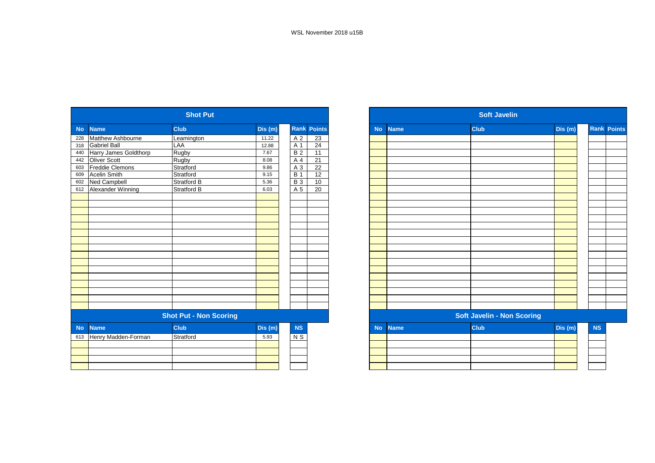| <b>Name</b><br>Dis(m)<br><b>Club</b><br><b>No</b>                        | <b>Rank Points</b> |  |  |  |  |  |
|--------------------------------------------------------------------------|--------------------|--|--|--|--|--|
|                                                                          |                    |  |  |  |  |  |
| <b>Matthew Ashbourne</b><br>Leamington<br>11.22<br>A <sub>2</sub><br>228 | 23                 |  |  |  |  |  |
| <b>Gabriel Ball</b><br>LAA<br>A 1<br>318<br>12.88                        | 24                 |  |  |  |  |  |
| Harry James Goldthorp<br><b>B2</b><br>Rugby<br>440<br>7.67               | 11                 |  |  |  |  |  |
| <b>Oliver Scott</b><br>Rugby<br>A 4<br>442<br>8.08                       | 21                 |  |  |  |  |  |
| <b>Freddie Clemons</b><br>Stratford<br>A <sub>3</sub><br>9.86<br>603     | 22                 |  |  |  |  |  |
| <b>Acelin Smith</b><br><b>B</b> 1<br>Stratford<br>609<br>9.15            | 12                 |  |  |  |  |  |
| <b>B3</b><br>Ned Campbell<br>Stratford B<br>5.36<br>602                  | 10                 |  |  |  |  |  |
| Alexander Winning<br>Stratford B<br>A 5<br>612<br>6.03                   | 20                 |  |  |  |  |  |
|                                                                          |                    |  |  |  |  |  |
|                                                                          |                    |  |  |  |  |  |
|                                                                          |                    |  |  |  |  |  |
|                                                                          |                    |  |  |  |  |  |
|                                                                          |                    |  |  |  |  |  |
|                                                                          |                    |  |  |  |  |  |
|                                                                          |                    |  |  |  |  |  |
|                                                                          |                    |  |  |  |  |  |
|                                                                          |                    |  |  |  |  |  |
|                                                                          |                    |  |  |  |  |  |
|                                                                          |                    |  |  |  |  |  |
|                                                                          |                    |  |  |  |  |  |
|                                                                          |                    |  |  |  |  |  |
|                                                                          |                    |  |  |  |  |  |
|                                                                          |                    |  |  |  |  |  |
|                                                                          |                    |  |  |  |  |  |
| <b>Shot Put - Non Scoring</b>                                            |                    |  |  |  |  |  |
| <b>Name</b><br><b>Club</b><br><b>NS</b><br><b>No</b><br>Dis(m)           |                    |  |  |  |  |  |
| Stratford<br>Henry Madden-Forman<br>N S<br>613<br>5.93                   |                    |  |  |  |  |  |
|                                                                          |                    |  |  |  |  |  |
|                                                                          |                    |  |  |  |  |  |
|                                                                          |                    |  |  |  |  |  |
|                                                                          |                    |  |  |  |  |  |

| <b>Soft Javelin</b> |             |                                   |        |           |                    |  |
|---------------------|-------------|-----------------------------------|--------|-----------|--------------------|--|
| <b>No</b>           | <b>Name</b> | Club                              | Dis(m) |           | <b>Rank Points</b> |  |
|                     |             |                                   |        |           |                    |  |
|                     |             |                                   |        |           |                    |  |
|                     |             |                                   |        |           |                    |  |
|                     |             |                                   |        |           |                    |  |
|                     |             |                                   |        |           |                    |  |
|                     |             |                                   |        |           |                    |  |
|                     |             |                                   |        |           |                    |  |
|                     |             |                                   |        |           |                    |  |
|                     |             |                                   |        |           |                    |  |
|                     |             |                                   |        |           |                    |  |
|                     |             |                                   |        |           |                    |  |
|                     |             |                                   |        |           |                    |  |
|                     |             |                                   |        |           |                    |  |
|                     |             |                                   |        |           |                    |  |
|                     |             |                                   |        |           |                    |  |
|                     |             |                                   |        |           |                    |  |
|                     |             |                                   |        |           |                    |  |
|                     |             |                                   |        |           |                    |  |
|                     |             |                                   |        |           |                    |  |
|                     |             | <b>Soft Javelin - Non Scoring</b> |        |           |                    |  |
| <b>No</b>           | <b>Name</b> | <b>Club</b>                       | Dis(m) | <b>NS</b> |                    |  |
|                     |             |                                   |        |           |                    |  |
|                     |             |                                   |        |           |                    |  |
|                     |             |                                   |        |           |                    |  |
|                     |             |                                   |        |           |                    |  |